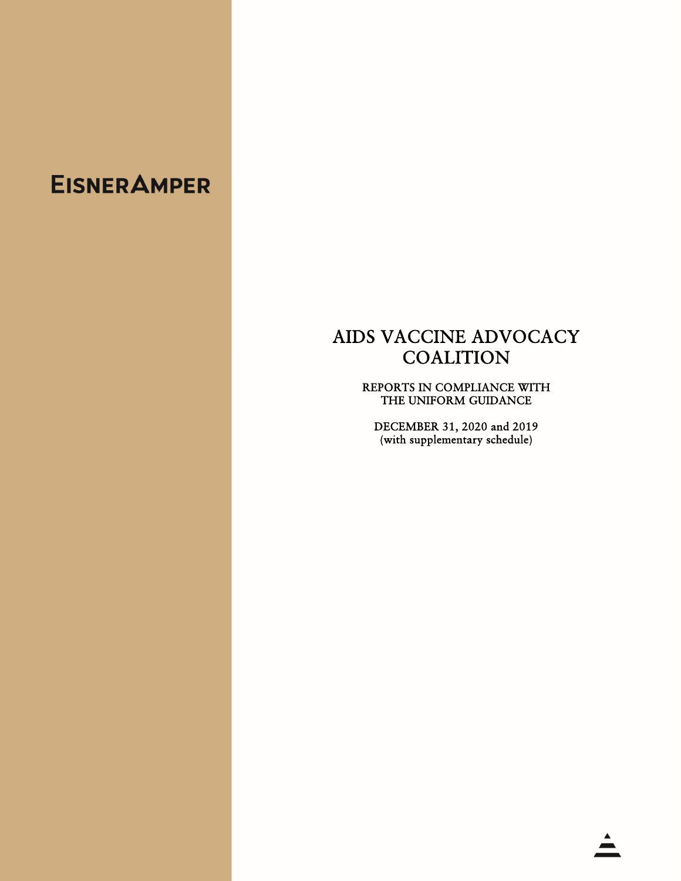# AIDS VACCINE ADVOCACY **COALITION**

REPORTS IN COMPLIANCE WITH THE UNIFORM GUIDANCE

DECEMBER 31, 2020 and 2019 (with supplementary schedule)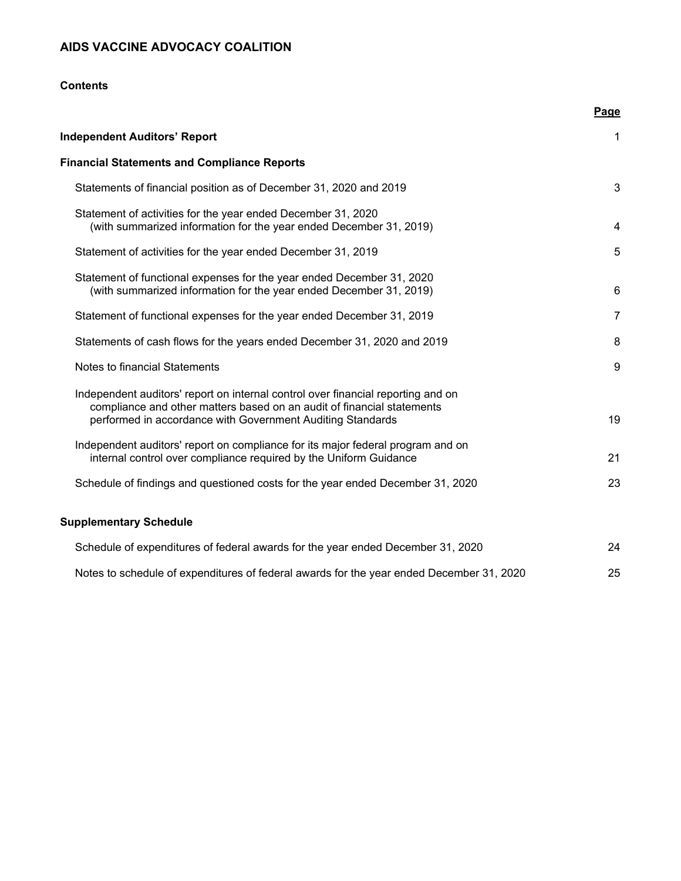### **Contents**

|                                                                                                                                                                                                                          | Page           |
|--------------------------------------------------------------------------------------------------------------------------------------------------------------------------------------------------------------------------|----------------|
| <b>Independent Auditors' Report</b>                                                                                                                                                                                      | $\mathbf 1$    |
| <b>Financial Statements and Compliance Reports</b>                                                                                                                                                                       |                |
| Statements of financial position as of December 31, 2020 and 2019                                                                                                                                                        | 3              |
| Statement of activities for the year ended December 31, 2020<br>(with summarized information for the year ended December 31, 2019)                                                                                       | 4              |
| Statement of activities for the year ended December 31, 2019                                                                                                                                                             | 5              |
| Statement of functional expenses for the year ended December 31, 2020<br>(with summarized information for the year ended December 31, 2019)                                                                              | 6              |
| Statement of functional expenses for the year ended December 31, 2019                                                                                                                                                    | $\overline{7}$ |
| Statements of cash flows for the years ended December 31, 2020 and 2019                                                                                                                                                  | 8              |
| Notes to financial Statements                                                                                                                                                                                            | 9              |
| Independent auditors' report on internal control over financial reporting and on<br>compliance and other matters based on an audit of financial statements<br>performed in accordance with Government Auditing Standards | 19             |
| Independent auditors' report on compliance for its major federal program and on<br>internal control over compliance required by the Uniform Guidance                                                                     | 21             |
| Schedule of findings and questioned costs for the year ended December 31, 2020                                                                                                                                           | 23             |
| <b>Supplementary Schedule</b>                                                                                                                                                                                            |                |
| Schedule of expenditures of federal awards for the year ended December 31, 2020                                                                                                                                          | 24             |
| Notes to schedule of expenditures of federal awards for the year ended December 31, 2020                                                                                                                                 | 25             |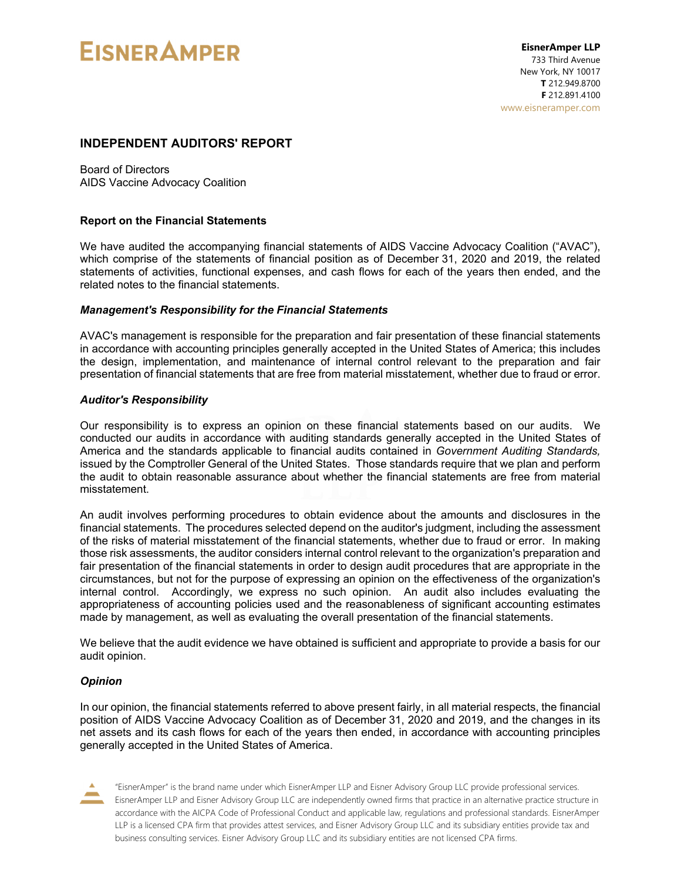#### **INDEPENDENT AUDITORS' REPORT**

Board of Directors AIDS Vaccine Advocacy Coalition

#### **Report on the Financial Statements**

We have audited the accompanying financial statements of AIDS Vaccine Advocacy Coalition ("AVAC"), which comprise of the statements of financial position as of December 31, 2020 and 2019, the related statements of activities, functional expenses, and cash flows for each of the years then ended, and the related notes to the financial statements.

#### *Management's Responsibility for the Financial Statements*

AVAC's management is responsible for the preparation and fair presentation of these financial statements in accordance with accounting principles generally accepted in the United States of America; this includes the design, implementation, and maintenance of internal control relevant to the preparation and fair presentation of financial statements that are free from material misstatement, whether due to fraud or error.

#### *Auditor's Responsibility*

Our responsibility is to express an opinion on these financial statements based on our audits. We conducted our audits in accordance with auditing standards generally accepted in the United States of America and the standards applicable to financial audits contained in *Government Auditing Standards,*  issued by the Comptroller General of the United States. Those standards require that we plan and perform the audit to obtain reasonable assurance about whether the financial statements are free from material misstatement.

An audit involves performing procedures to obtain evidence about the amounts and disclosures in the financial statements. The procedures selected depend on the auditor's judgment, including the assessment of the risks of material misstatement of the financial statements, whether due to fraud or error. In making those risk assessments, the auditor considers internal control relevant to the organization's preparation and fair presentation of the financial statements in order to design audit procedures that are appropriate in the circumstances, but not for the purpose of expressing an opinion on the effectiveness of the organization's internal control. Accordingly, we express no such opinion. An audit also includes evaluating the appropriateness of accounting policies used and the reasonableness of significant accounting estimates made by management, as well as evaluating the overall presentation of the financial statements.

We believe that the audit evidence we have obtained is sufficient and appropriate to provide a basis for our audit opinion.

#### *Opinion*

In our opinion, the financial statements referred to above present fairly, in all material respects, the financial position of AIDS Vaccine Advocacy Coalition as of December 31, 2020 and 2019, and the changes in its net assets and its cash flows for each of the years then ended, in accordance with accounting principles generally accepted in the United States of America.

"EisnerAmper" is the brand name under which EisnerAmper LLP and Eisner Advisory Group LLC provide professional services. EisnerAmper LLP and Eisner Advisory Group LLC are independently owned firms that practice in an alternative practice structure in accordance with the AICPA Code of Professional Conduct and applicable law, regulations and professional standards. EisnerAmper LLP is a licensed CPA firm that provides attest services, and Eisner Advisory Group LLC and its subsidiary entities provide tax and business consulting services. Eisner Advisory Group LLC and its subsidiary entities are not licensed CPA firms.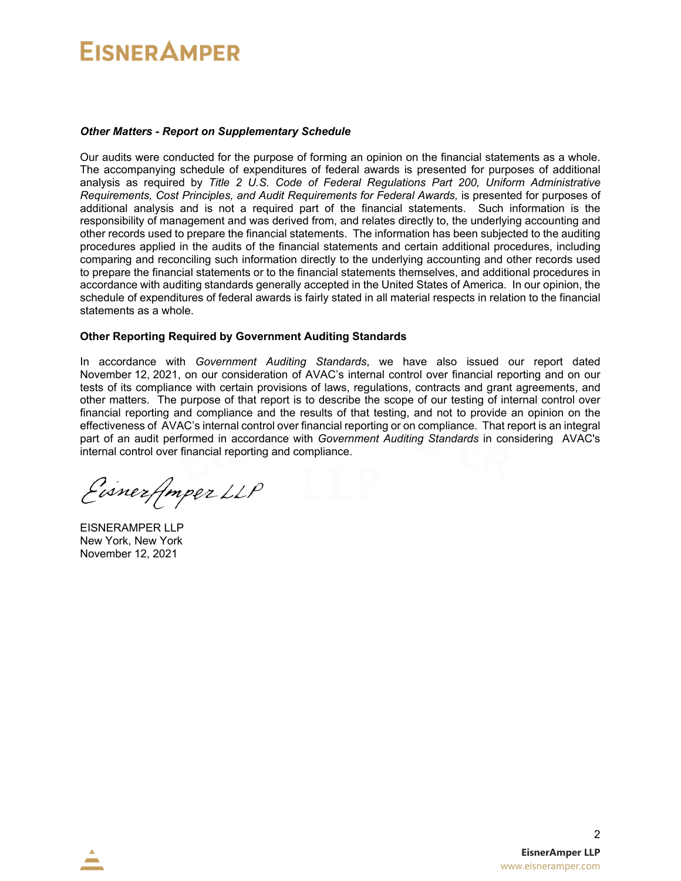#### *Other Matters - Report on Supplementary Schedule*

Our audits were conducted for the purpose of forming an opinion on the financial statements as a whole. The accompanying schedule of expenditures of federal awards is presented for purposes of additional analysis as required by *Title 2 U.S. Code of Federal Regulations Part 200, Uniform Administrative Requirements, Cost Principles, and Audit Requirements for Federal Awards,* is presented for purposes of additional analysis and is not a required part of the financial statements. Such information is the responsibility of management and was derived from, and relates directly to, the underlying accounting and other records used to prepare the financial statements. The information has been subjected to the auditing procedures applied in the audits of the financial statements and certain additional procedures, including comparing and reconciling such information directly to the underlying accounting and other records used to prepare the financial statements or to the financial statements themselves, and additional procedures in accordance with auditing standards generally accepted in the United States of America. In our opinion, the schedule of expenditures of federal awards is fairly stated in all material respects in relation to the financial statements as a whole.

#### **Other Reporting Required by Government Auditing Standards**

In accordance with *Government Auditing Standards*, we have also issued our report dated November 12, 2021, on our consideration of AVAC's internal control over financial reporting and on our tests of its compliance with certain provisions of laws, regulations, contracts and grant agreements, and other matters. The purpose of that report is to describe the scope of our testing of internal control over financial reporting and compliance and the results of that testing, and not to provide an opinion on the effectiveness of AVAC's internal control over financial reporting or on compliance. That report is an integral part of an audit performed in accordance with *Government Auditing Standards* in considering AVAC's internal control over financial reporting and compliance.

Eisnerfmper LLP

EISNERAMPER LLP New York, New York November 12, 2021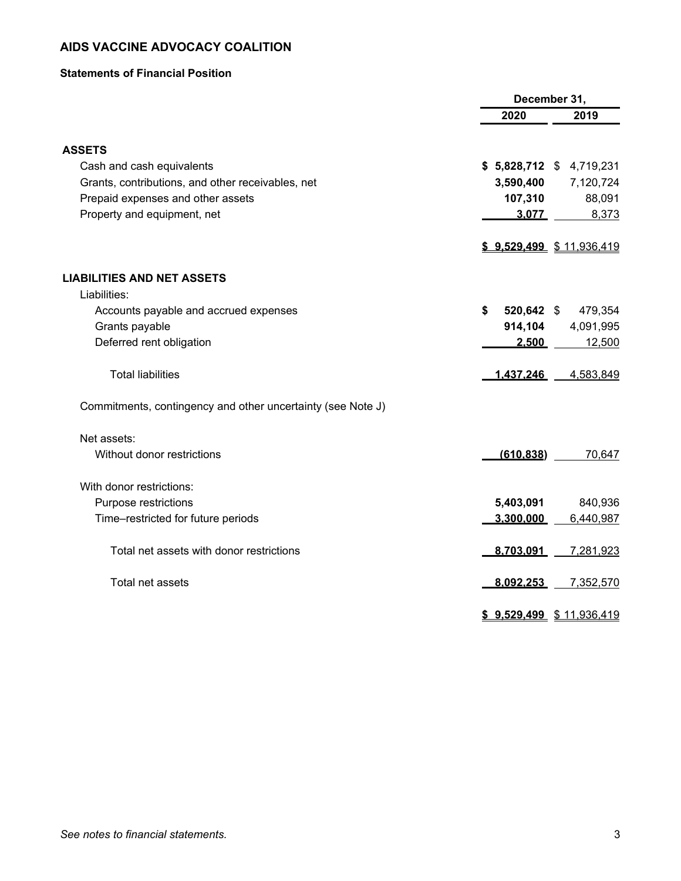#### **Statements of Financial Position**

|                                                             | December 31,     |                            |  |  |
|-------------------------------------------------------------|------------------|----------------------------|--|--|
|                                                             | 2020             | 2019                       |  |  |
| <b>ASSETS</b>                                               |                  |                            |  |  |
| Cash and cash equivalents                                   | $$5,828,712$ \$  | 4,719,231                  |  |  |
| Grants, contributions, and other receivables, net           | 3,590,400        | 7,120,724                  |  |  |
| Prepaid expenses and other assets                           | 107,310          | 88,091                     |  |  |
| Property and equipment, net                                 | 3.077            | 8,373                      |  |  |
|                                                             |                  | \$ 9,529,499 \$ 11,936,419 |  |  |
| <b>LIABILITIES AND NET ASSETS</b>                           |                  |                            |  |  |
| Liabilities:                                                |                  |                            |  |  |
| Accounts payable and accrued expenses                       | \$<br>520,642 \$ | 479,354                    |  |  |
| Grants payable                                              | 914,104          | 4,091,995                  |  |  |
| Deferred rent obligation                                    | 2.500            | 12,500                     |  |  |
| <b>Total liabilities</b>                                    | 1.437.246        | 4,583,849                  |  |  |
| Commitments, contingency and other uncertainty (see Note J) |                  |                            |  |  |
| Net assets:                                                 |                  |                            |  |  |
| Without donor restrictions                                  | (610.838)        | 70,647                     |  |  |
| With donor restrictions:                                    |                  |                            |  |  |
| Purpose restrictions                                        | 5,403,091        | 840,936                    |  |  |
| Time-restricted for future periods                          | 3.300.000        | 6,440,987                  |  |  |
| Total net assets with donor restrictions                    | 8.703.091        | 7,281,923                  |  |  |
| Total net assets                                            | 8.092.253        | 7,352,570                  |  |  |
|                                                             |                  | \$ 9,529,499 \$ 11,936,419 |  |  |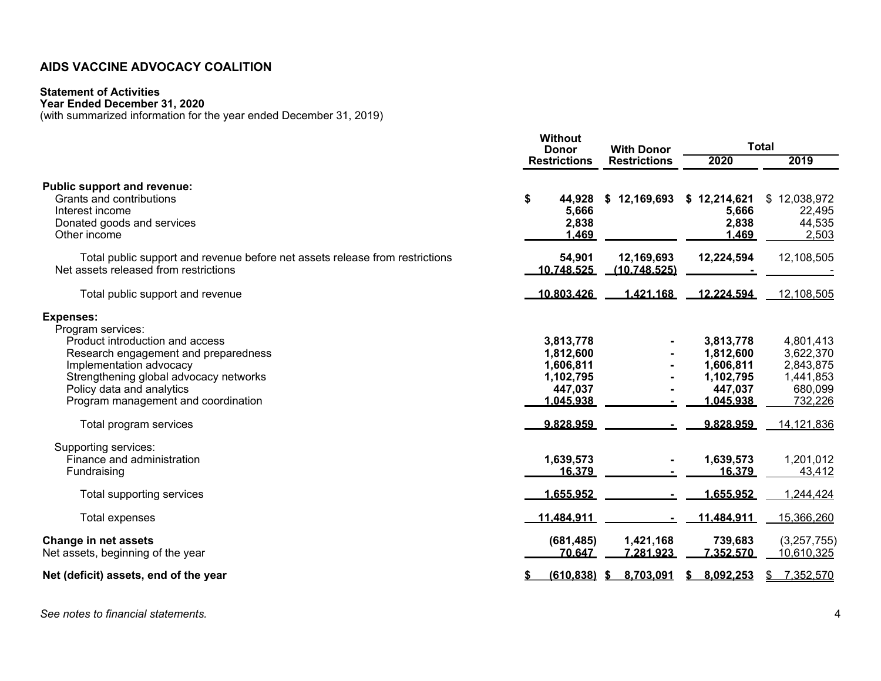#### **Statement of Activities**

**Year Ended December 31, 2020** 

(with summarized information for the year ended December 31, 2019)

|                                                                                                                                                                                                                                                                                     | <b>Without</b><br><b>Donor</b>                                                        | <b>With Donor</b>          | <b>Total</b>                                                                          |                                                                                      |  |  |  |
|-------------------------------------------------------------------------------------------------------------------------------------------------------------------------------------------------------------------------------------------------------------------------------------|---------------------------------------------------------------------------------------|----------------------------|---------------------------------------------------------------------------------------|--------------------------------------------------------------------------------------|--|--|--|
|                                                                                                                                                                                                                                                                                     | <b>Restrictions</b>                                                                   | <b>Restrictions</b>        | 2020                                                                                  | 2019                                                                                 |  |  |  |
| <b>Public support and revenue:</b><br>Grants and contributions<br>Interest income<br>Donated goods and services<br>Other income                                                                                                                                                     | \$<br>44,928<br>5,666<br>2,838<br>1.469                                               | \$12,169,693               | \$12,214,621<br>5,666<br>2,838<br>1.469                                               | \$12,038,972<br>22,495<br>44,535<br>2,503                                            |  |  |  |
| Total public support and revenue before net assets release from restrictions<br>Net assets released from restrictions                                                                                                                                                               | 54,901<br>10.748.525                                                                  | 12,169,693<br>(10.748.525) | 12,224,594                                                                            | 12,108,505                                                                           |  |  |  |
| Total public support and revenue                                                                                                                                                                                                                                                    | 10.803.426                                                                            | 1.421.168                  | 12.224.594                                                                            | 12,108,505                                                                           |  |  |  |
| <b>Expenses:</b><br>Program services:<br>Product introduction and access<br>Research engagement and preparedness<br>Implementation advocacy<br>Strengthening global advocacy networks<br>Policy data and analytics<br>Program management and coordination<br>Total program services | 3,813,778<br>1,812,600<br>1,606,811<br>1,102,795<br>447,037<br>1.045.938<br>9.828.959 |                            | 3,813,778<br>1,812,600<br>1,606,811<br>1,102,795<br>447,037<br>1.045.938<br>9.828.959 | 4,801,413<br>3,622,370<br>2,843,875<br>1,441,853<br>680,099<br>732,226<br>14,121,836 |  |  |  |
| Supporting services:<br>Finance and administration<br>Fundraising<br>Total supporting services                                                                                                                                                                                      | 1,639,573<br>16.379<br>1.655.952                                                      |                            | 1,639,573<br>16.379<br>1.655.952                                                      | 1,201,012<br>43,412<br>1,244,424                                                     |  |  |  |
| Total expenses                                                                                                                                                                                                                                                                      | 11.484.911                                                                            |                            | 11.484.911                                                                            | 15,366,260                                                                           |  |  |  |
| <b>Change in net assets</b><br>Net assets, beginning of the year                                                                                                                                                                                                                    | (681, 485)<br>70.647                                                                  | 1,421,168<br>7.281.923     | 739,683<br>7,352,570                                                                  | (3,257,755)<br>10,610,325                                                            |  |  |  |
| Net (deficit) assets, end of the year                                                                                                                                                                                                                                               | $(610, 838)$ \$                                                                       | 8,703,091                  | 8,092,253                                                                             | 7,352,570                                                                            |  |  |  |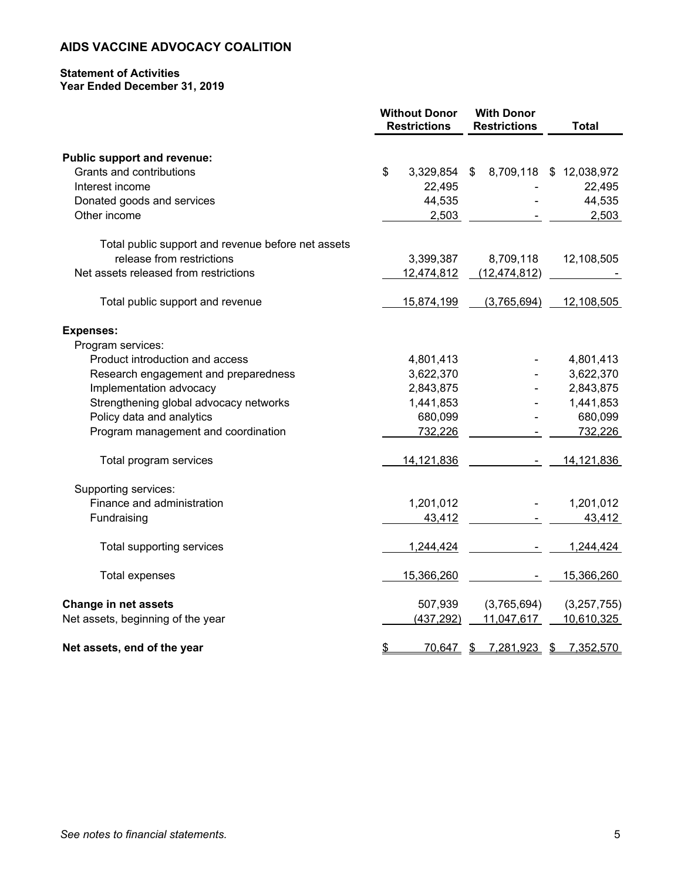#### **Statement of Activities Year Ended December 31, 2019**

|                                                    | <b>Without Donor</b><br><b>Restrictions</b> | <b>With Donor</b><br><b>Restrictions</b> | <b>Total</b>            |
|----------------------------------------------------|---------------------------------------------|------------------------------------------|-------------------------|
| <b>Public support and revenue:</b>                 |                                             |                                          |                         |
| Grants and contributions                           | \$<br>3,329,854                             | \$                                       | 8,709,118 \$ 12,038,972 |
| Interest income                                    | 22,495                                      |                                          | 22,495                  |
| Donated goods and services                         | 44,535                                      |                                          | 44,535                  |
| Other income                                       | 2,503                                       |                                          | 2,503                   |
| Total public support and revenue before net assets |                                             |                                          |                         |
| release from restrictions                          | 3,399,387                                   | 8,709,118                                | 12,108,505              |
| Net assets released from restrictions              | 12,474,812                                  | (12, 474, 812)                           |                         |
| Total public support and revenue                   | 15,874,199                                  | (3,765,694)                              | 12,108,505              |
| <b>Expenses:</b>                                   |                                             |                                          |                         |
| Program services:                                  |                                             |                                          |                         |
| Product introduction and access                    | 4,801,413                                   |                                          | 4,801,413               |
| Research engagement and preparedness               | 3,622,370                                   |                                          | 3,622,370               |
| Implementation advocacy                            | 2,843,875                                   |                                          | 2,843,875               |
| Strengthening global advocacy networks             | 1,441,853                                   |                                          | 1,441,853               |
| Policy data and analytics                          | 680,099                                     |                                          | 680,099                 |
| Program management and coordination                | 732,226                                     |                                          | 732,226                 |
| Total program services                             | 14, 121, 836                                |                                          | 14,121,836              |
| Supporting services:                               |                                             |                                          |                         |
| Finance and administration                         | 1,201,012                                   |                                          | 1,201,012               |
| Fundraising                                        | 43,412                                      |                                          | 43,412                  |
| Total supporting services                          | 1,244,424                                   |                                          | 1,244,424               |
| <b>Total expenses</b>                              | 15,366,260                                  |                                          | 15,366,260              |
| <b>Change in net assets</b>                        | 507,939                                     | (3,765,694)                              | (3,257,755)             |
| Net assets, beginning of the year                  | (437, 292)                                  | 11,047,617                               | 10,610,325              |
| Net assets, end of the year                        | \$<br>70,647 \$                             | 7,281,923 \$                             | 7,352,570               |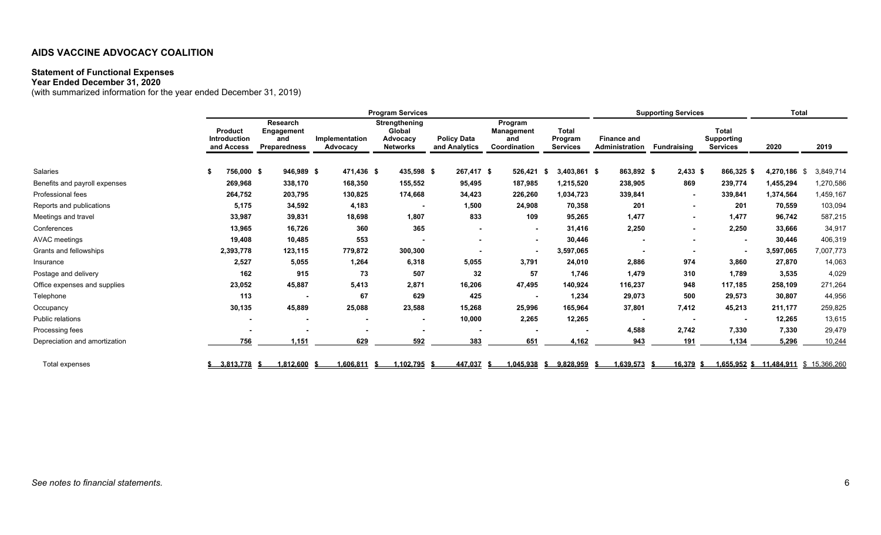#### **Statement of Functional Expenses**

**Year Ended December 31, 2020** 

(with summarized information for the year ended December 31, 2019)

|                               | <b>Program Services</b> |                                              |                                                      |  |                            |  |                                                        |                                     | <b>Supporting Services</b>                   | Total                                      |           |                                             |                          |                                                      |                                       |           |
|-------------------------------|-------------------------|----------------------------------------------|------------------------------------------------------|--|----------------------------|--|--------------------------------------------------------|-------------------------------------|----------------------------------------------|--------------------------------------------|-----------|---------------------------------------------|--------------------------|------------------------------------------------------|---------------------------------------|-----------|
|                               |                         | Product<br><b>Introduction</b><br>and Access | <b>Research</b><br>Engagement<br>and<br>Preparedness |  | Implementation<br>Advocacy |  | Strengthening<br>Global<br>Advocacy<br><b>Networks</b> | <b>Policy Data</b><br>and Analytics | Program<br>Management<br>and<br>Coordination | <b>Total</b><br>Program<br><b>Services</b> |           | <b>Finance and</b><br><b>Administration</b> | <b>Fundraising</b>       | <b>Total</b><br><b>Supporting</b><br><b>Services</b> | 2020                                  | 2019      |
| <b>Salaries</b>               |                         | 756,000 \$                                   | 946,989 \$                                           |  | 471,436 \$                 |  | 435,598 \$                                             | 267,417 \$                          | 526,421                                      | $3,403,861$ \$<br>- \$                     |           | 863,892 \$                                  | $2,433$ \$               | 866,325 \$                                           | 4,270,186 \$                          | 3,849,714 |
| Benefits and payroll expenses |                         | 269,968                                      | 338,170                                              |  | 168,350                    |  | 155,552                                                | 95,495                              | 187,985                                      | 1,215,520                                  |           | 238,905                                     | 869                      | 239,774                                              | 1,455,294                             | 1,270,586 |
| Professional fees             |                         | 264,752                                      | 203,795                                              |  | 130,825                    |  | 174,668                                                | 34,423                              | 226,260                                      | 1,034,723                                  |           | 339,841                                     | $\blacksquare$           | 339,841                                              | 1,374,564                             | 1,459,167 |
| Reports and publications      |                         | 5,175                                        | 34,592                                               |  | 4,183                      |  |                                                        | 1,500                               | 24,908                                       | 70,358                                     |           | 201                                         | ۰                        | 201                                                  | 70,559                                | 103,094   |
| Meetings and travel           |                         | 33,987                                       | 39,831                                               |  | 18,698                     |  | 1,807                                                  | 833                                 | 109                                          | 95,265                                     |           | 1,477                                       | ٠                        | 1.477                                                | 96,742                                | 587,215   |
| Conferences                   |                         | 13,965                                       | 16,726                                               |  | 360                        |  | 365                                                    | $\sim$                              | $\sim$                                       | 31,416                                     |           | 2,250                                       | $\blacksquare$           | 2,250                                                | 33,666                                | 34,917    |
| <b>AVAC</b> meetings          |                         | 19,408                                       | 10,485                                               |  | 553                        |  |                                                        |                                     | $\sim$                                       | 30,446                                     |           |                                             | ۰                        | ٠                                                    | 30,446                                | 406,319   |
| Grants and fellowships        |                         | 2,393,778                                    | 123,115                                              |  | 779,872                    |  | 300,300                                                |                                     |                                              | 3,597,065                                  |           |                                             |                          | ٠                                                    | 3,597,065                             | 7,007,773 |
| Insurance                     |                         | 2,527                                        | 5,055                                                |  | 1,264                      |  | 6,318                                                  | 5,055                               | 3,791                                        | 24,010                                     |           | 2,886                                       | 974                      | 3,860                                                | 27,870                                | 14,063    |
| Postage and delivery          |                         | 162                                          | 915                                                  |  | 73                         |  | 507                                                    | 32                                  | 57                                           | 1.746                                      |           | 1,479                                       | 310                      | 1,789                                                | 3,535                                 | 4,029     |
| Office expenses and supplies  |                         | 23,052                                       | 45,887                                               |  | 5,413                      |  | 2,871                                                  | 16,206                              | 47,495                                       | 140,924                                    |           | 116,237                                     | 948                      | 117,185                                              | 258,109                               | 271,264   |
| Telephone                     |                         | 113                                          |                                                      |  | 67                         |  | 629                                                    | 425                                 |                                              | 1,234                                      |           | 29,073                                      | 500                      | 29,573                                               | 30,807                                | 44,956    |
| Occupancy                     |                         | 30,135                                       | 45,889                                               |  | 25,088                     |  | 23,588                                                 | 15,268                              | 25,996                                       | 165,964                                    |           | 37,801                                      | 7,412                    | 45,213                                               | 211,177                               | 259,825   |
| Public relations              |                         | $\sim$                                       |                                                      |  | $\blacksquare$             |  | ٠                                                      | 10,000                              | 2,265                                        | 12,265                                     |           |                                             | $\overline{\phantom{a}}$ | $\blacksquare$                                       | 12,265                                | 13,615    |
| Processing fees               |                         |                                              |                                                      |  |                            |  |                                                        | $\blacksquare$                      |                                              |                                            | $\,$ $\,$ | 4,588                                       | 2,742                    | 7,330                                                | 7,330                                 | 29,479    |
| Depreciation and amortization |                         | 756                                          | 1,151                                                |  | 629                        |  | 592                                                    | 383                                 | 651                                          | 4.162                                      |           | 943                                         | 191                      | 1.134                                                | 5,296                                 | 10,244    |
| Total expenses                |                         | 3,813,778                                    | 1,812,600<br>- 55                                    |  | 1,606,811 \$               |  | ,102,795                                               | 447,037                             | 1,045,938                                    | 9,828,959<br>- \$                          |           | 1,639,573                                   | 16,379 \$                |                                                      | 1,655,952 \$ 11,484,911 \$ 15,366,260 |           |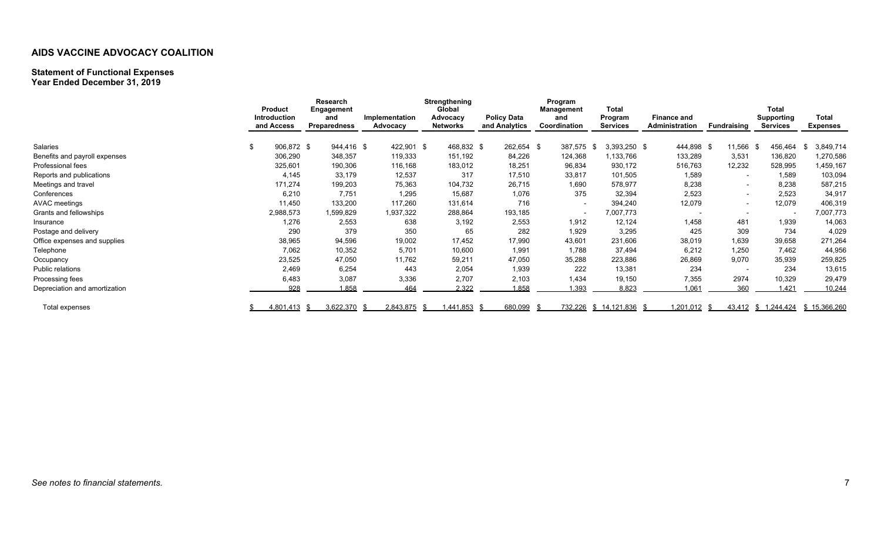### **Statement of Functional Expenses**

**Year Ended December 31, 2019** 

|                               | <b>Product</b><br><b>Introduction</b><br>and Access | Research<br>Engagement<br>and<br>Preparedness | Implementation<br>Advocacy | Strengthening<br>Global<br>Advocacy<br><b>Networks</b> | <b>Policy Data</b><br>and Analytics | Program<br><b>Management</b><br>and<br>Coordination | <b>Total</b><br>Program<br><b>Services</b> | <b>Finance and</b><br>Administration | Fundraising              | <b>Total</b><br><b>Supporting</b><br><b>Services</b> | Total<br><b>Expenses</b> |
|-------------------------------|-----------------------------------------------------|-----------------------------------------------|----------------------------|--------------------------------------------------------|-------------------------------------|-----------------------------------------------------|--------------------------------------------|--------------------------------------|--------------------------|------------------------------------------------------|--------------------------|
|                               |                                                     |                                               |                            |                                                        |                                     |                                                     |                                            |                                      |                          |                                                      |                          |
| Salaries                      | 906,872 \$                                          | 944,416 \$                                    | 422,901 \$                 | 468,832 \$                                             | 262,654 \$                          | 387,575                                             | $3,393,250$ \$<br>- \$                     | 444,898 \$                           | 11,566                   | 456,464<br>- S                                       | 3,849,714<br>-\$         |
| Benefits and payroll expenses | 306,290                                             | 348,357                                       | 119,333                    | 151,192                                                | 84,226                              | 124,368                                             | 1,133,766                                  | 133,289                              | 3,531                    | 136,820                                              | 1,270,586                |
| Professional fees             | 325,601                                             | 190,306                                       | 116,168                    | 183,012                                                | 18,251                              | 96,834                                              | 930,172                                    | 516,763                              | 12,232                   | 528,995                                              | 1,459,167                |
| Reports and publications      | 4,145                                               | 33,179                                        | 12,537                     | 317                                                    | 17,510                              | 33,817                                              | 101,505                                    | 1,589                                | $\overline{\phantom{a}}$ | 1,589                                                | 103,094                  |
| Meetings and travel           | 171,274                                             | 199,203                                       | 75,363                     | 104,732                                                | 26,715                              | 1,690                                               | 578,977                                    | 8,238                                | $\overline{\phantom{a}}$ | 8,238                                                | 587,215                  |
| Conferences                   | 6,210                                               | 7,751                                         | 1,295                      | 15,687                                                 | 1,076                               | 375                                                 | 32,394                                     | 2,523                                | $\overline{\phantom{a}}$ | 2,523                                                | 34,917                   |
| <b>AVAC</b> meetings          | 11,450                                              | 133,200                                       | 117,260                    | 131,614                                                | 716                                 | $\overline{\phantom{a}}$                            | 394,240                                    | 12,079                               | $\overline{\phantom{a}}$ | 12,079                                               | 406,319                  |
| Grants and fellowships        | 2,988,573                                           | 1,599,829                                     | 1,937,322                  | 288,864                                                | 193,185                             |                                                     | 7,007,773                                  |                                      | $\overline{\phantom{a}}$ |                                                      | 7,007,773                |
| Insurance                     | 1,276                                               | 2,553                                         | 638                        | 3,192                                                  | 2,553                               | 1,912                                               | 12,124                                     | 1,458                                | 481                      | 1,939                                                | 14,063                   |
| Postage and delivery          | 290                                                 | 379                                           | 350                        | 65                                                     | 282                                 | 1,929                                               | 3,295                                      | 425                                  | 309                      | 734                                                  | 4,029                    |
| Office expenses and supplies  | 38,965                                              | 94,596                                        | 19,002                     | 17,452                                                 | 17,990                              | 43,601                                              | 231,606                                    | 38,019                               | 1,639                    | 39,658                                               | 271,264                  |
| Telephone                     | 7,062                                               | 10,352                                        | 5,701                      | 10,600                                                 | 1,991                               | 1,788                                               | 37,494                                     | 6,212                                | 1,250                    | 7,462                                                | 44,956                   |
| Occupancy                     | 23,525                                              | 47,050                                        | 11,762                     | 59,211                                                 | 47,050                              | 35,288                                              | 223,886                                    | 26,869                               | 9,070                    | 35,939                                               | 259,825                  |
| Public relations              | 2,469                                               | 6,254                                         | 443                        | 2,054                                                  | 1,939                               | 222                                                 | 13,381                                     | 234                                  | $\overline{\phantom{a}}$ | 234                                                  | 13,615                   |
| Processing fees               | 6,483                                               | 3,087                                         | 3,336                      | 2,707                                                  | 2,103                               | 1,434                                               | 19,150                                     | 7,355                                | 2974                     | 10,329                                               | 29,479                   |
| Depreciation and amortization | 928                                                 | .858                                          | 464                        | 2.322                                                  | 1.858                               | .393                                                | 8,823                                      | 1.061                                | 360                      | 1.421                                                | 10,244                   |
| Total expenses                | 4.801.413                                           | 3,622,370                                     | 2,843,875                  | 1,441,853                                              | 680,099                             |                                                     | 732,226 \$ 14,121,836                      | .201,012                             |                          | 43,412 \$ 1,244,424                                  | \$15,366,260             |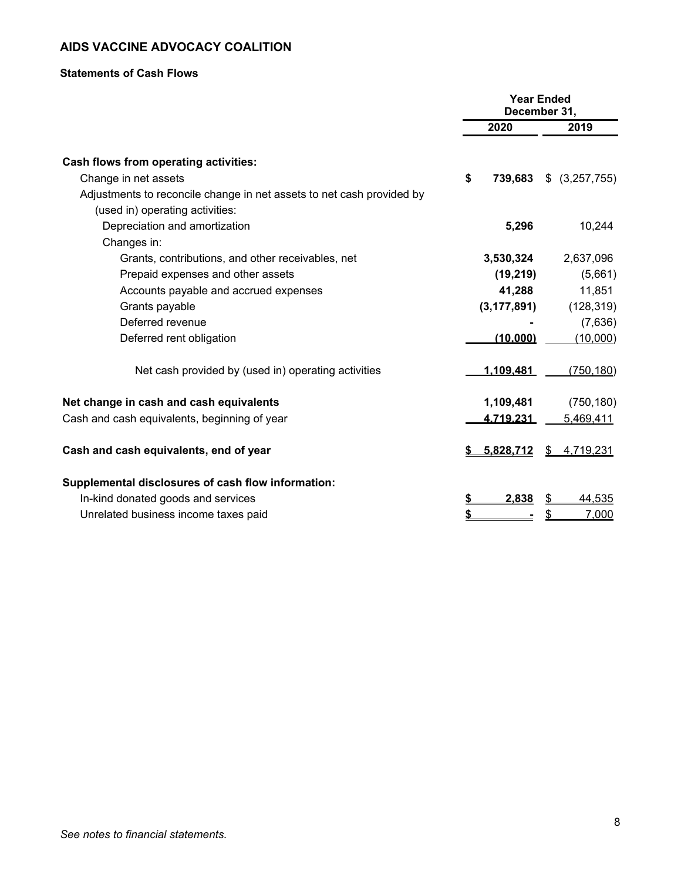#### **Statements of Cash Flows**

|                                                                       | <b>Year Ended</b><br>December 31, |                  |    |                |
|-----------------------------------------------------------------------|-----------------------------------|------------------|----|----------------|
|                                                                       |                                   | 2020             |    | 2019           |
| Cash flows from operating activities:                                 |                                   |                  |    |                |
| Change in net assets                                                  | \$                                | 739,683          |    | \$ (3,257,755) |
| Adjustments to reconcile change in net assets to net cash provided by |                                   |                  |    |                |
| (used in) operating activities:                                       |                                   |                  |    |                |
| Depreciation and amortization                                         |                                   | 5,296            |    | 10,244         |
| Changes in:                                                           |                                   |                  |    |                |
| Grants, contributions, and other receivables, net                     |                                   | 3,530,324        |    | 2,637,096      |
| Prepaid expenses and other assets                                     |                                   | (19, 219)        |    | (5,661)        |
| Accounts payable and accrued expenses                                 |                                   | 41,288           |    | 11,851         |
| Grants payable                                                        |                                   | (3, 177, 891)    |    | (128, 319)     |
| Deferred revenue                                                      |                                   |                  |    | (7,636)        |
| Deferred rent obligation                                              |                                   | (10.000)         |    | (10,000)       |
| Net cash provided by (used in) operating activities                   |                                   | 1.109.481        |    | (750, 180)     |
| Net change in cash and cash equivalents                               |                                   | 1,109,481        |    | (750, 180)     |
| Cash and cash equivalents, beginning of year                          |                                   | <u>4.719.231</u> |    | 5,469,411      |
| Cash and cash equivalents, end of year                                |                                   | 5,828,712        | \$ | 4,719,231      |
| Supplemental disclosures of cash flow information:                    |                                   |                  |    |                |
| In-kind donated goods and services                                    |                                   | 2.838            | \$ | 44,535         |
| Unrelated business income taxes paid                                  |                                   |                  | \$ | 7,000          |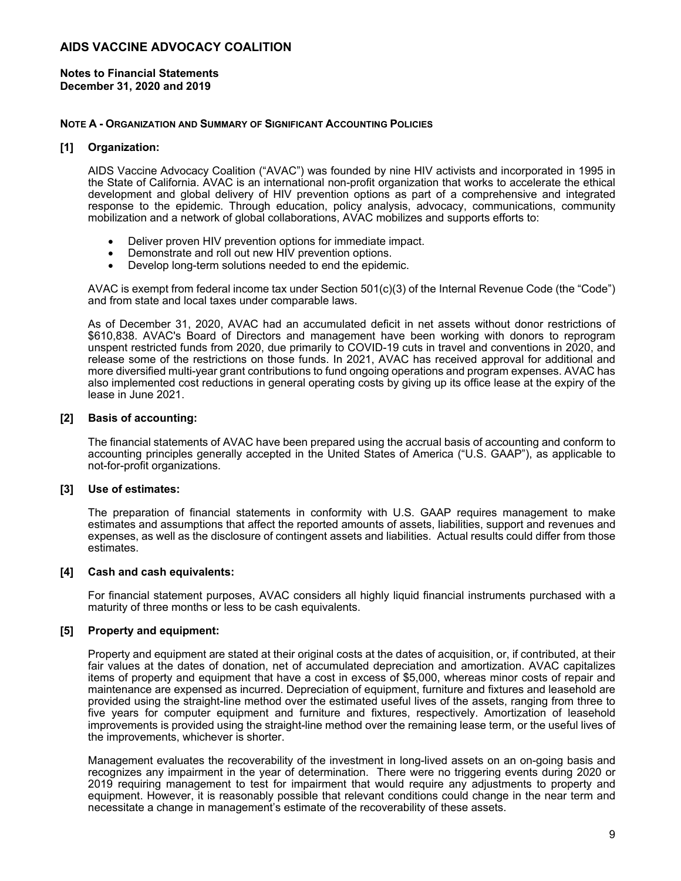**Notes to Financial Statements December 31, 2020 and 2019** 

#### **NOTE A - ORGANIZATION AND SUMMARY OF SIGNIFICANT ACCOUNTING POLICIES**

#### **[1] Organization:**

AIDS Vaccine Advocacy Coalition ("AVAC") was founded by nine HIV activists and incorporated in 1995 in the State of California. AVAC is an international non-profit organization that works to accelerate the ethical development and global delivery of HIV prevention options as part of a comprehensive and integrated response to the epidemic. Through education, policy analysis, advocacy, communications, community mobilization and a network of global collaborations, AVAC mobilizes and supports efforts to:

- Deliver proven HIV prevention options for immediate impact.
- Demonstrate and roll out new HIV prevention options.
- Develop long-term solutions needed to end the epidemic.

AVAC is exempt from federal income tax under Section 501(c)(3) of the Internal Revenue Code (the "Code") and from state and local taxes under comparable laws.

As of December 31, 2020, AVAC had an accumulated deficit in net assets without donor restrictions of \$610,838. AVAC's Board of Directors and management have been working with donors to reprogram unspent restricted funds from 2020, due primarily to COVID-19 cuts in travel and conventions in 2020, and release some of the restrictions on those funds. In 2021, AVAC has received approval for additional and more diversified multi-year grant contributions to fund ongoing operations and program expenses. AVAC has also implemented cost reductions in general operating costs by giving up its office lease at the expiry of the lease in June 2021.

#### **[2] Basis of accounting:**

The financial statements of AVAC have been prepared using the accrual basis of accounting and conform to accounting principles generally accepted in the United States of America ("U.S. GAAP"), as applicable to not-for-profit organizations.

#### **[3] Use of estimates:**

The preparation of financial statements in conformity with U.S. GAAP requires management to make estimates and assumptions that affect the reported amounts of assets, liabilities, support and revenues and expenses, as well as the disclosure of contingent assets and liabilities. Actual results could differ from those estimates.

#### **[4] Cash and cash equivalents:**

For financial statement purposes, AVAC considers all highly liquid financial instruments purchased with a maturity of three months or less to be cash equivalents.

#### **[5] Property and equipment:**

Property and equipment are stated at their original costs at the dates of acquisition, or, if contributed, at their fair values at the dates of donation, net of accumulated depreciation and amortization. AVAC capitalizes items of property and equipment that have a cost in excess of \$5,000, whereas minor costs of repair and maintenance are expensed as incurred. Depreciation of equipment, furniture and fixtures and leasehold are provided using the straight-line method over the estimated useful lives of the assets, ranging from three to five years for computer equipment and furniture and fixtures, respectively. Amortization of leasehold improvements is provided using the straight-line method over the remaining lease term, or the useful lives of the improvements, whichever is shorter.

Management evaluates the recoverability of the investment in long-lived assets on an on-going basis and recognizes any impairment in the year of determination. There were no triggering events during 2020 or 2019 requiring management to test for impairment that would require any adjustments to property and equipment. However, it is reasonably possible that relevant conditions could change in the near term and necessitate a change in management's estimate of the recoverability of these assets.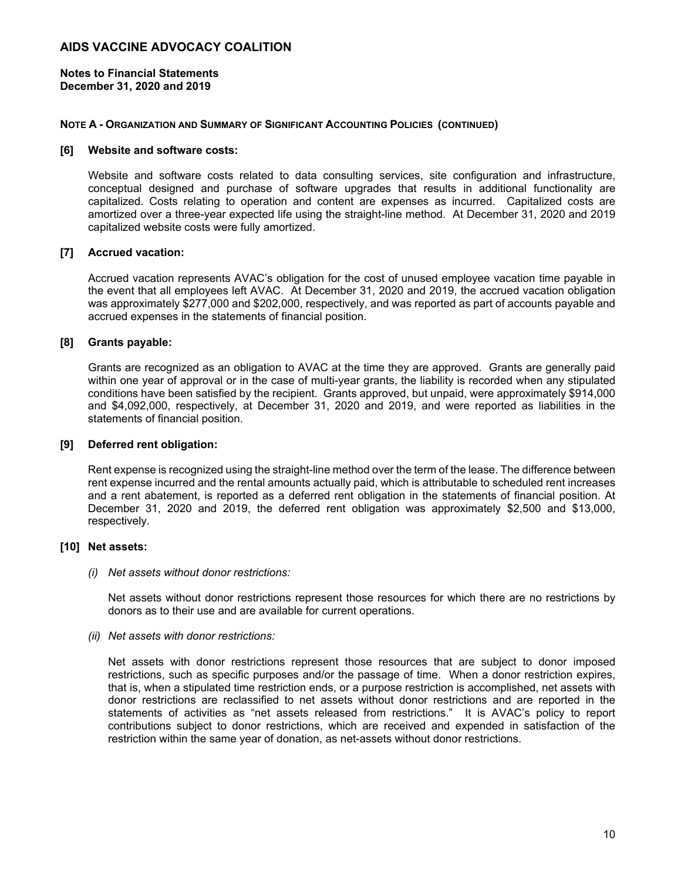**Notes to Financial Statements December 31, 2020 and 2019** 

#### **NOTE A - ORGANIZATION AND SUMMARY OF SIGNIFICANT ACCOUNTING POLICIES (CONTINUED)**

#### **[6] Website and software costs:**

Website and software costs related to data consulting services, site configuration and infrastructure, conceptual designed and purchase of software upgrades that results in additional functionality are capitalized. Costs relating to operation and content are expenses as incurred. Capitalized costs are amortized over a three-year expected life using the straight-line method. At December 31, 2020 and 2019 capitalized website costs were fully amortized.

#### **[7] Accrued vacation:**

Accrued vacation represents AVAC's obligation for the cost of unused employee vacation time payable in the event that all employees left AVAC. At December 31, 2020 and 2019, the accrued vacation obligation was approximately \$277,000 and \$202,000, respectively, and was reported as part of accounts payable and accrued expenses in the statements of financial position.

#### **[8] Grants payable:**

Grants are recognized as an obligation to AVAC at the time they are approved. Grants are generally paid within one year of approval or in the case of multi-year grants, the liability is recorded when any stipulated conditions have been satisfied by the recipient. Grants approved, but unpaid, were approximately \$914,000 and \$4,092,000, respectively, at December 31, 2020 and 2019, and were reported as liabilities in the statements of financial position.

#### **[9] Deferred rent obligation:**

Rent expense is recognized using the straight-line method over the term of the lease. The difference between rent expense incurred and the rental amounts actually paid, which is attributable to scheduled rent increases and a rent abatement, is reported as a deferred rent obligation in the statements of financial position. At December 31, 2020 and 2019, the deferred rent obligation was approximately \$2,500 and \$13,000, respectively.

#### **[10] Net assets:**

#### *(i) Net assets without donor restrictions:*

Net assets without donor restrictions represent those resources for which there are no restrictions by donors as to their use and are available for current operations.

#### *(ii) Net assets with donor restrictions:*

Net assets with donor restrictions represent those resources that are subject to donor imposed restrictions, such as specific purposes and/or the passage of time. When a donor restriction expires, that is, when a stipulated time restriction ends, or a purpose restriction is accomplished, net assets with donor restrictions are reclassified to net assets without donor restrictions and are reported in the statements of activities as "net assets released from restrictions." It is AVAC's policy to report contributions subject to donor restrictions, which are received and expended in satisfaction of the restriction within the same year of donation, as net-assets without donor restrictions.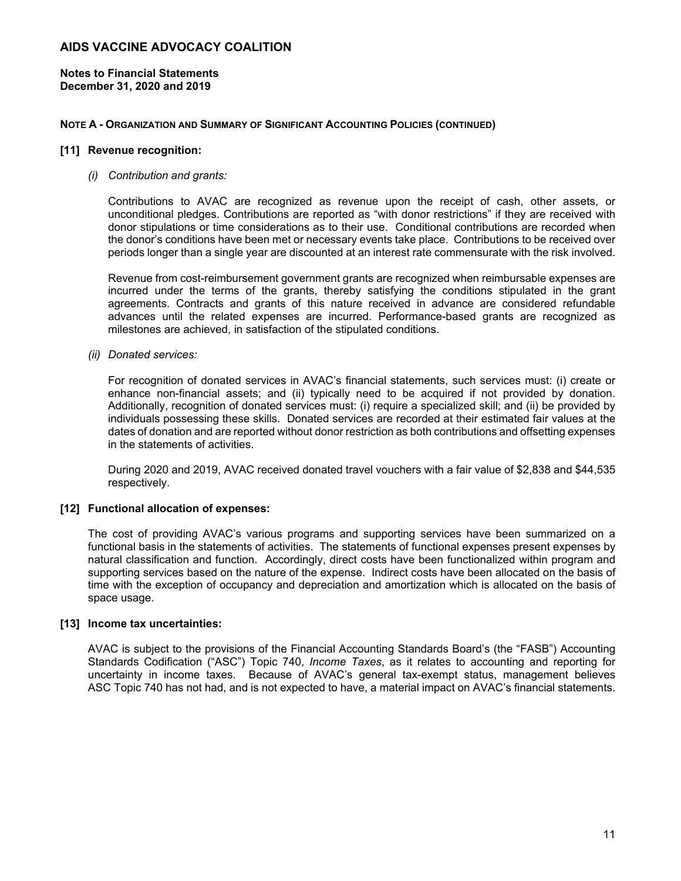**Notes to Financial Statements December 31, 2020 and 2019** 

#### **NOTE A - ORGANIZATION AND SUMMARY OF SIGNIFICANT ACCOUNTING POLICIES (CONTINUED)**

#### **[11] Revenue recognition:**

#### *(i) Contribution and grants:*

Contributions to AVAC are recognized as revenue upon the receipt of cash, other assets, or unconditional pledges. Contributions are reported as "with donor restrictions" if they are received with donor stipulations or time considerations as to their use. Conditional contributions are recorded when the donor's conditions have been met or necessary events take place. Contributions to be received over periods longer than a single year are discounted at an interest rate commensurate with the risk involved.

Revenue from cost-reimbursement government grants are recognized when reimbursable expenses are incurred under the terms of the grants, thereby satisfying the conditions stipulated in the grant agreements. Contracts and grants of this nature received in advance are considered refundable advances until the related expenses are incurred. Performance-based grants are recognized as milestones are achieved, in satisfaction of the stipulated conditions.

*(ii) Donated services:* 

For recognition of donated services in AVAC's financial statements, such services must: (i) create or enhance non-financial assets; and (ii) typically need to be acquired if not provided by donation. Additionally, recognition of donated services must: (i) require a specialized skill; and (ii) be provided by individuals possessing these skills. Donated services are recorded at their estimated fair values at the dates of donation and are reported without donor restriction as both contributions and offsetting expenses in the statements of activities.

During 2020 and 2019, AVAC received donated travel vouchers with a fair value of \$2,838 and \$44,535 respectively.

#### **[12] Functional allocation of expenses:**

The cost of providing AVAC's various programs and supporting services have been summarized on a functional basis in the statements of activities. The statements of functional expenses present expenses by natural classification and function. Accordingly, direct costs have been functionalized within program and supporting services based on the nature of the expense. Indirect costs have been allocated on the basis of time with the exception of occupancy and depreciation and amortization which is allocated on the basis of space usage.

#### **[13] Income tax uncertainties:**

AVAC is subject to the provisions of the Financial Accounting Standards Board's (the "FASB") Accounting Standards Codification ("ASC") Topic 740, *Income Taxes*, as it relates to accounting and reporting for uncertainty in income taxes. Because of AVAC's general tax-exempt status, management believes ASC Topic 740 has not had, and is not expected to have, a material impact on AVAC's financial statements.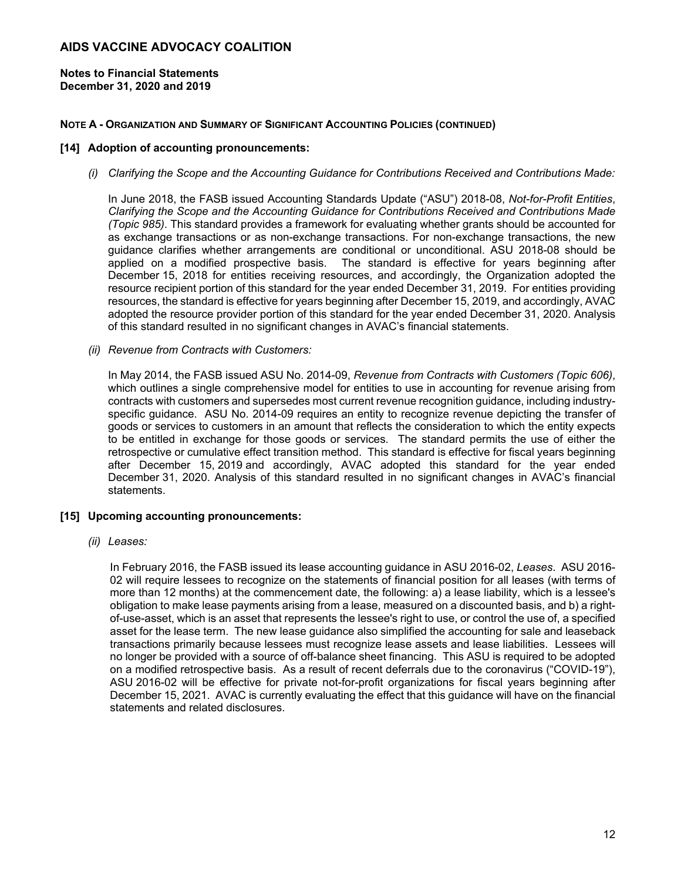**Notes to Financial Statements December 31, 2020 and 2019** 

#### **NOTE A - ORGANIZATION AND SUMMARY OF SIGNIFICANT ACCOUNTING POLICIES (CONTINUED)**

#### **[14] Adoption of accounting pronouncements:**

*(i) Clarifying the Scope and the Accounting Guidance for Contributions Received and Contributions Made:* 

In June 2018, the FASB issued Accounting Standards Update ("ASU") 2018-08, *Not-for-Profit Entities*, *Clarifying the Scope and the Accounting Guidance for Contributions Received and Contributions Made (Topic 985)*. This standard provides a framework for evaluating whether grants should be accounted for as exchange transactions or as non-exchange transactions. For non-exchange transactions, the new guidance clarifies whether arrangements are conditional or unconditional. ASU 2018-08 should be applied on a modified prospective basis. The standard is effective for years beginning after December 15, 2018 for entities receiving resources, and accordingly, the Organization adopted the resource recipient portion of this standard for the year ended December 31, 2019. For entities providing resources, the standard is effective for years beginning after December 15, 2019, and accordingly, AVAC adopted the resource provider portion of this standard for the year ended December 31, 2020. Analysis of this standard resulted in no significant changes in AVAC's financial statements.

*(ii) Revenue from Contracts with Customers:* 

In May 2014, the FASB issued ASU No. 2014-09, *Revenue from Contracts with Customers (Topic 606)*, which outlines a single comprehensive model for entities to use in accounting for revenue arising from contracts with customers and supersedes most current revenue recognition guidance, including industryspecific guidance. ASU No. 2014-09 requires an entity to recognize revenue depicting the transfer of goods or services to customers in an amount that reflects the consideration to which the entity expects to be entitled in exchange for those goods or services. The standard permits the use of either the retrospective or cumulative effect transition method. This standard is effective for fiscal years beginning after December 15, 2019 and accordingly, AVAC adopted this standard for the year ended December 31, 2020. Analysis of this standard resulted in no significant changes in AVAC's financial statements.

#### **[15] Upcoming accounting pronouncements:**

*(ii) Leases:* 

In February 2016, the FASB issued its lease accounting guidance in ASU 2016-02, *Leases*. ASU 2016- 02 will require lessees to recognize on the statements of financial position for all leases (with terms of more than 12 months) at the commencement date, the following: a) a lease liability, which is a lessee's obligation to make lease payments arising from a lease, measured on a discounted basis, and b) a rightof-use-asset, which is an asset that represents the lessee's right to use, or control the use of, a specified asset for the lease term. The new lease guidance also simplified the accounting for sale and leaseback transactions primarily because lessees must recognize lease assets and lease liabilities. Lessees will no longer be provided with a source of off-balance sheet financing. This ASU is required to be adopted on a modified retrospective basis. As a result of recent deferrals due to the coronavirus ("COVID-19"), ASU 2016-02 will be effective for private not-for-profit organizations for fiscal years beginning after December 15, 2021. AVAC is currently evaluating the effect that this guidance will have on the financial statements and related disclosures.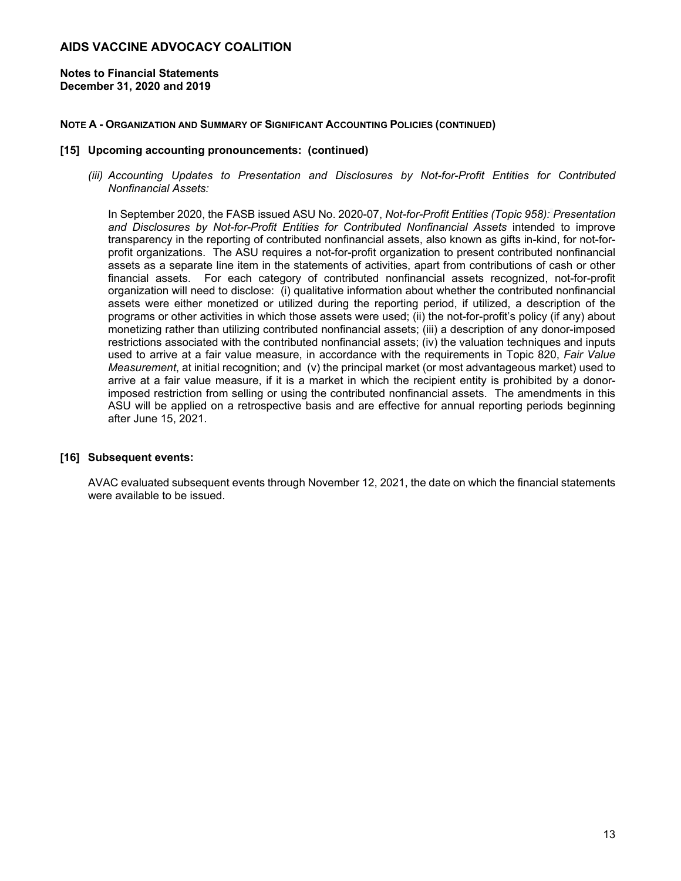**Notes to Financial Statements December 31, 2020 and 2019** 

#### **NOTE A - ORGANIZATION AND SUMMARY OF SIGNIFICANT ACCOUNTING POLICIES (CONTINUED)**

#### **[15] Upcoming accounting pronouncements: (continued)**

*(iii) Accounting Updates to Presentation and Disclosures by Not-for-Profit Entities for Contributed Nonfinancial Assets:* 

In September 2020, the FASB issued ASU No. 2020-07, *Not-for-Profit Entities (Topic 958): Presentation and Disclosures by Not-for-Profit Entities for Contributed Nonfinancial Assets* intended to improve transparency in the reporting of contributed nonfinancial assets, also known as gifts in-kind, for not-forprofit organizations. The ASU requires a not-for-profit organization to present contributed nonfinancial assets as a separate line item in the statements of activities, apart from contributions of cash or other financial assets. For each category of contributed nonfinancial assets recognized, not-for-profit organization will need to disclose: (i) qualitative information about whether the contributed nonfinancial assets were either monetized or utilized during the reporting period, if utilized, a description of the programs or other activities in which those assets were used; (ii) the not-for-profit's policy (if any) about monetizing rather than utilizing contributed nonfinancial assets; (iii) a description of any donor-imposed restrictions associated with the contributed nonfinancial assets; (iv) the valuation techniques and inputs used to arrive at a fair value measure, in accordance with the requirements in Topic 820, *Fair Value Measurement*, at initial recognition; and (v) the principal market (or most advantageous market) used to arrive at a fair value measure, if it is a market in which the recipient entity is prohibited by a donorimposed restriction from selling or using the contributed nonfinancial assets. The amendments in this ASU will be applied on a retrospective basis and are effective for annual reporting periods beginning after June 15, 2021.

#### **[16] Subsequent events:**

AVAC evaluated subsequent events through November 12, 2021, the date on which the financial statements were available to be issued.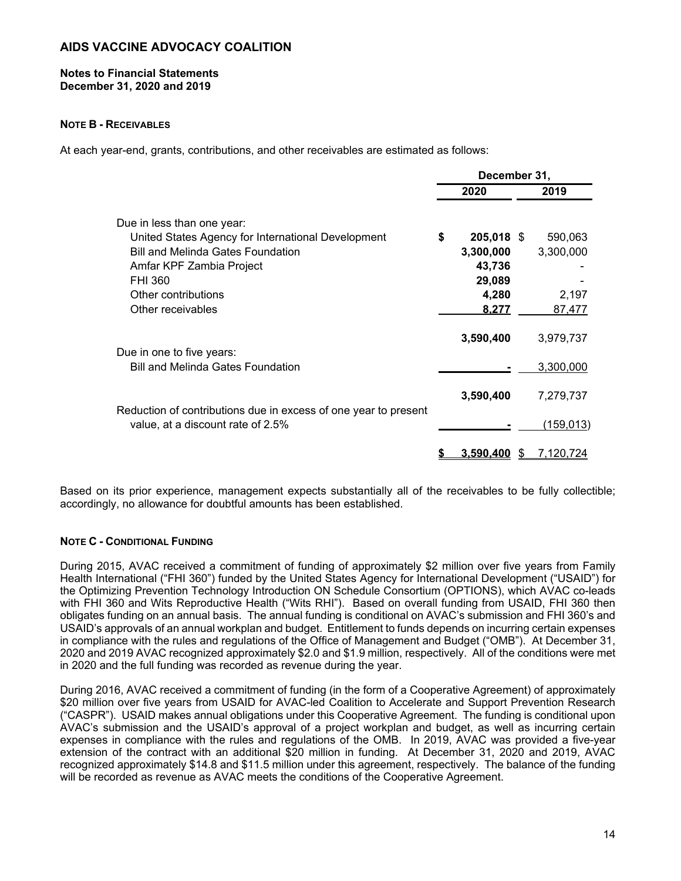#### **Notes to Financial Statements December 31, 2020 and 2019**

#### **NOTE B - RECEIVABLES**

At each year-end, grants, contributions, and other receivables are estimated as follows:

|                                                                                                      | December 31, |                  |  |                  |  |
|------------------------------------------------------------------------------------------------------|--------------|------------------|--|------------------|--|
|                                                                                                      |              | 2020             |  | 2019             |  |
| Due in less than one year:                                                                           |              |                  |  |                  |  |
| United States Agency for International Development                                                   | \$           | 205,018 \$       |  | 590,063          |  |
| <b>Bill and Melinda Gates Foundation</b>                                                             |              | 3,300,000        |  | 3,300,000        |  |
| Amfar KPF Zambia Project                                                                             |              | 43,736           |  |                  |  |
| FHI 360                                                                                              |              | 29,089           |  |                  |  |
| Other contributions                                                                                  |              | 4,280            |  | 2,197            |  |
| Other receivables                                                                                    |              | 8.277            |  | 87,477           |  |
|                                                                                                      |              | 3,590,400        |  | 3,979,737        |  |
| Due in one to five years:                                                                            |              |                  |  |                  |  |
| <b>Bill and Melinda Gates Foundation</b>                                                             |              |                  |  | 3,300,000        |  |
|                                                                                                      |              | 3,590,400        |  | 7,279,737        |  |
| Reduction of contributions due in excess of one year to present<br>value, at a discount rate of 2.5% |              |                  |  | <u>(159,013)</u> |  |
|                                                                                                      |              | <u>3.590.400</u> |  | <u>7,120,724</u> |  |

Based on its prior experience, management expects substantially all of the receivables to be fully collectible; accordingly, no allowance for doubtful amounts has been established.

#### **NOTE C - CONDITIONAL FUNDING**

During 2015, AVAC received a commitment of funding of approximately \$2 million over five years from Family Health International ("FHI 360") funded by the United States Agency for International Development ("USAID") for the Optimizing Prevention Technology Introduction ON Schedule Consortium (OPTIONS), which AVAC co-leads with FHI 360 and Wits Reproductive Health ("Wits RHI"). Based on overall funding from USAID, FHI 360 then obligates funding on an annual basis. The annual funding is conditional on AVAC's submission and FHI 360's and USAID's approvals of an annual workplan and budget. Entitlement to funds depends on incurring certain expenses in compliance with the rules and regulations of the Office of Management and Budget ("OMB"). At December 31, 2020 and 2019 AVAC recognized approximately \$2.0 and \$1.9 million, respectively. All of the conditions were met in 2020 and the full funding was recorded as revenue during the year.

During 2016, AVAC received a commitment of funding (in the form of a Cooperative Agreement) of approximately \$20 million over five years from USAID for AVAC-led Coalition to Accelerate and Support Prevention Research ("CASPR"). USAID makes annual obligations under this Cooperative Agreement. The funding is conditional upon AVAC's submission and the USAID's approval of a project workplan and budget, as well as incurring certain expenses in compliance with the rules and regulations of the OMB. In 2019, AVAC was provided a five-year extension of the contract with an additional \$20 million in funding. At December 31, 2020 and 2019, AVAC recognized approximately \$14.8 and \$11.5 million under this agreement, respectively. The balance of the funding will be recorded as revenue as AVAC meets the conditions of the Cooperative Agreement.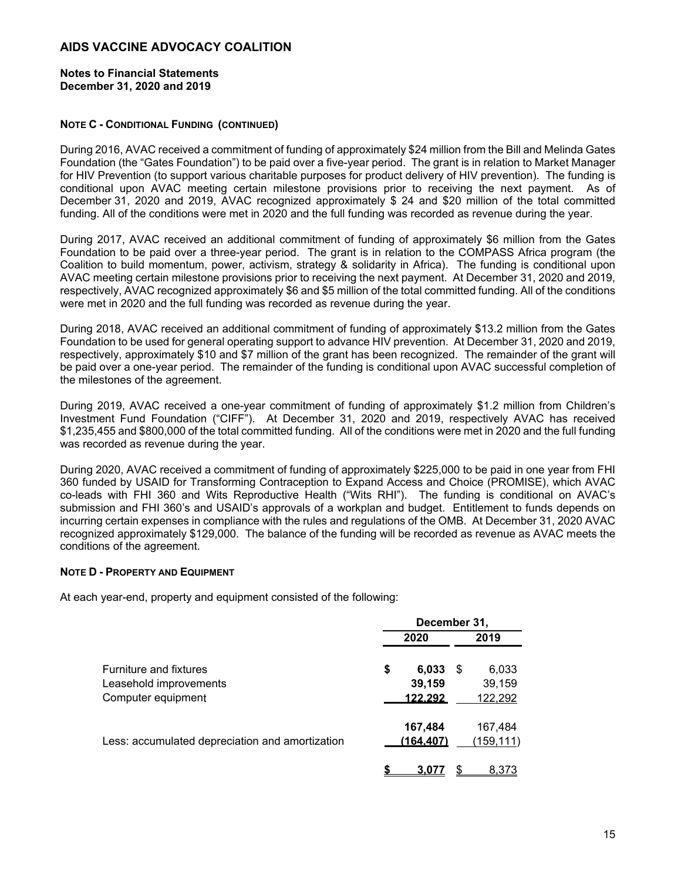#### **Notes to Financial Statements December 31, 2020 and 2019**

#### **NOTE C - CONDITIONAL FUNDING (CONTINUED)**

During 2016, AVAC received a commitment of funding of approximately \$24 million from the Bill and Melinda Gates Foundation (the "Gates Foundation") to be paid over a five-year period. The grant is in relation to Market Manager for HIV Prevention (to support various charitable purposes for product delivery of HIV prevention). The funding is conditional upon AVAC meeting certain milestone provisions prior to receiving the next payment. As of December 31, 2020 and 2019, AVAC recognized approximately \$ 24 and \$20 million of the total committed funding. All of the conditions were met in 2020 and the full funding was recorded as revenue during the year.

During 2017, AVAC received an additional commitment of funding of approximately \$6 million from the Gates Foundation to be paid over a three-year period. The grant is in relation to the COMPASS Africa program (the Coalition to build momentum, power, activism, strategy & solidarity in Africa). The funding is conditional upon AVAC meeting certain milestone provisions prior to receiving the next payment. At December 31, 2020 and 2019, respectively, AVAC recognized approximately \$6 and \$5 million of the total committed funding. All of the conditions were met in 2020 and the full funding was recorded as revenue during the year.

During 2018, AVAC received an additional commitment of funding of approximately \$13.2 million from the Gates Foundation to be used for general operating support to advance HIV prevention. At December 31, 2020 and 2019, respectively, approximately \$10 and \$7 million of the grant has been recognized. The remainder of the grant will be paid over a one-year period. The remainder of the funding is conditional upon AVAC successful completion of the milestones of the agreement.

During 2019, AVAC received a one-year commitment of funding of approximately \$1.2 million from Children's Investment Fund Foundation ("CIFF"). At December 31, 2020 and 2019, respectively AVAC has received \$1,235,455 and \$800,000 of the total committed funding. All of the conditions were met in 2020 and the full funding was recorded as revenue during the year.

During 2020, AVAC received a commitment of funding of approximately \$225,000 to be paid in one year from FHI 360 funded by USAID for Transforming Contraception to Expand Access and Choice (PROMISE), which AVAC co-leads with FHI 360 and Wits Reproductive Health ("Wits RHI"). The funding is conditional on AVAC's submission and FHI 360's and USAID's approvals of a workplan and budget. Entitlement to funds depends on incurring certain expenses in compliance with the rules and regulations of the OMB. At December 31, 2020 AVAC recognized approximately \$129,000. The balance of the funding will be recorded as revenue as AVAC meets the conditions of the agreement.

#### **NOTE D - PROPERTY AND EQUIPMENT**

At each year-end, property and equipment consisted of the following:

|                                                 | December 31, |               |   |            |  |
|-------------------------------------------------|--------------|---------------|---|------------|--|
|                                                 |              | 2020          |   | 2019       |  |
| <b>Furniture and fixtures</b>                   | \$           | 6,033         | S | 6,033      |  |
| Leasehold improvements                          |              | 39,159        |   | 39,159     |  |
| Computer equipment                              |              | 122.292       |   | 122,292    |  |
|                                                 |              | 167,484       |   | 167,484    |  |
| Less: accumulated depreciation and amortization |              | (164.407)     |   | (159, 111) |  |
|                                                 |              | $3.0^{\circ}$ |   | 8,373      |  |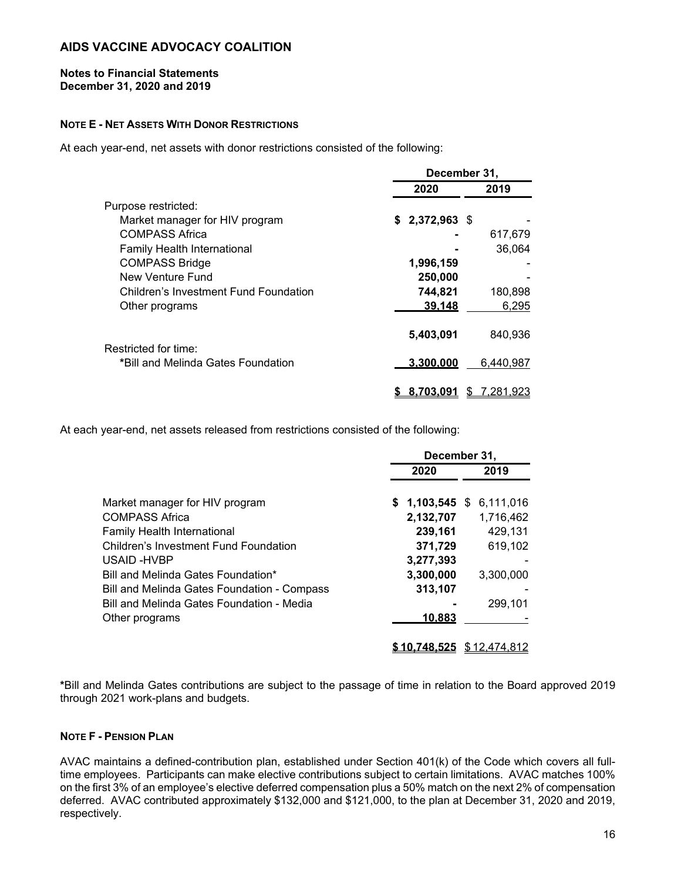#### **Notes to Financial Statements December 31, 2020 and 2019**

#### **NOTE E - NET ASSETS WITH DONOR RESTRICTIONS**

At each year-end, net assets with donor restrictions consisted of the following:

|                                       | December 31,    |                |  |  |
|---------------------------------------|-----------------|----------------|--|--|
|                                       | 2020            | 2019           |  |  |
| Purpose restricted:                   |                 |                |  |  |
| Market manager for HIV program        | $$2,372,963$ \$ |                |  |  |
| COMPASS Africa                        |                 | 617,679        |  |  |
| <b>Family Health International</b>    |                 | 36,064         |  |  |
| <b>COMPASS Bridge</b>                 | 1,996,159       |                |  |  |
| New Venture Fund                      | 250,000         |                |  |  |
| Children's Investment Fund Foundation | 744,821         | 180,898        |  |  |
| Other programs                        | 39.148          | 6,295          |  |  |
| Restricted for time:                  | 5,403,091       | 840.936        |  |  |
| *Bill and Melinda Gates Foundation    | 3.300.000       | 6,440,987      |  |  |
|                                       | 8.703.091       | 7,281,923<br>S |  |  |

At each year-end, net assets released from restrictions consisted of the following:

|                                             | December 31, |                             |  |           |
|---------------------------------------------|--------------|-----------------------------|--|-----------|
|                                             |              | 2020                        |  | 2019      |
| Market manager for HIV program              |              | $$1,103,545$ \$ 6,111,016   |  |           |
| <b>COMPASS Africa</b>                       |              | 2,132,707                   |  | 1,716,462 |
| Family Health International                 |              | 239,161                     |  | 429,131   |
| Children's Investment Fund Foundation       |              | 371,729                     |  | 619,102   |
| USAID-HVBP                                  |              | 3,277,393                   |  |           |
| Bill and Melinda Gates Foundation*          |              | 3,300,000                   |  | 3,300,000 |
| Bill and Melinda Gates Foundation - Compass |              | 313,107                     |  |           |
| Bill and Melinda Gates Foundation - Media   |              |                             |  | 299.101   |
| Other programs                              |              | 10,883                      |  |           |
|                                             |              | $$10.748.525$ $$12.474.812$ |  |           |

**\***Bill and Melinda Gates contributions are subject to the passage of time in relation to the Board approved 2019 through 2021 work-plans and budgets.

#### **NOTE F - PENSION PLAN**

AVAC maintains a defined-contribution plan, established under Section 401(k) of the Code which covers all fulltime employees. Participants can make elective contributions subject to certain limitations. AVAC matches 100% on the first 3% of an employee's elective deferred compensation plus a 50% match on the next 2% of compensation deferred. AVAC contributed approximately \$132,000 and \$121,000, to the plan at December 31, 2020 and 2019, respectively.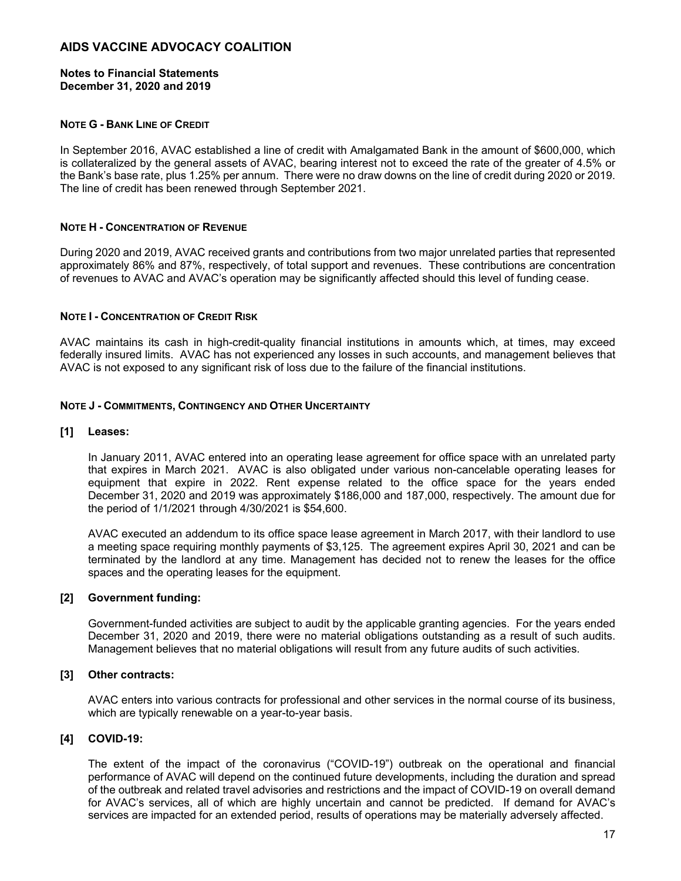#### **Notes to Financial Statements December 31, 2020 and 2019**

#### **NOTE G - BANK LINE OF CREDIT**

In September 2016, AVAC established a line of credit with Amalgamated Bank in the amount of \$600,000, which is collateralized by the general assets of AVAC, bearing interest not to exceed the rate of the greater of 4.5% or the Bank's base rate, plus 1.25% per annum. There were no draw downs on the line of credit during 2020 or 2019. The line of credit has been renewed through September 2021.

#### **NOTE H - CONCENTRATION OF REVENUE**

During 2020 and 2019, AVAC received grants and contributions from two major unrelated parties that represented approximately 86% and 87%, respectively, of total support and revenues. These contributions are concentration of revenues to AVAC and AVAC's operation may be significantly affected should this level of funding cease.

#### **NOTE I - CONCENTRATION OF CREDIT RISK**

AVAC maintains its cash in high-credit-quality financial institutions in amounts which, at times, may exceed federally insured limits. AVAC has not experienced any losses in such accounts, and management believes that AVAC is not exposed to any significant risk of loss due to the failure of the financial institutions.

#### **NOTE J - COMMITMENTS, CONTINGENCY AND OTHER UNCERTAINTY**

#### **[1] Leases:**

In January 2011, AVAC entered into an operating lease agreement for office space with an unrelated party that expires in March 2021. AVAC is also obligated under various non-cancelable operating leases for equipment that expire in 2022. Rent expense related to the office space for the years ended December 31, 2020 and 2019 was approximately \$186,000 and 187,000, respectively. The amount due for the period of 1/1/2021 through 4/30/2021 is \$54,600.

AVAC executed an addendum to its office space lease agreement in March 2017, with their landlord to use a meeting space requiring monthly payments of \$3,125. The agreement expires April 30, 2021 and can be terminated by the landlord at any time. Management has decided not to renew the leases for the office spaces and the operating leases for the equipment.

#### **[2] Government funding:**

Government-funded activities are subject to audit by the applicable granting agencies. For the years ended December 31, 2020 and 2019, there were no material obligations outstanding as a result of such audits. Management believes that no material obligations will result from any future audits of such activities.

#### **[3] Other contracts:**

AVAC enters into various contracts for professional and other services in the normal course of its business, which are typically renewable on a year-to-year basis.

#### **[4] COVID-19:**

The extent of the impact of the coronavirus ("COVID-19") outbreak on the operational and financial performance of AVAC will depend on the continued future developments, including the duration and spread of the outbreak and related travel advisories and restrictions and the impact of COVID-19 on overall demand for AVAC's services, all of which are highly uncertain and cannot be predicted. If demand for AVAC's services are impacted for an extended period, results of operations may be materially adversely affected.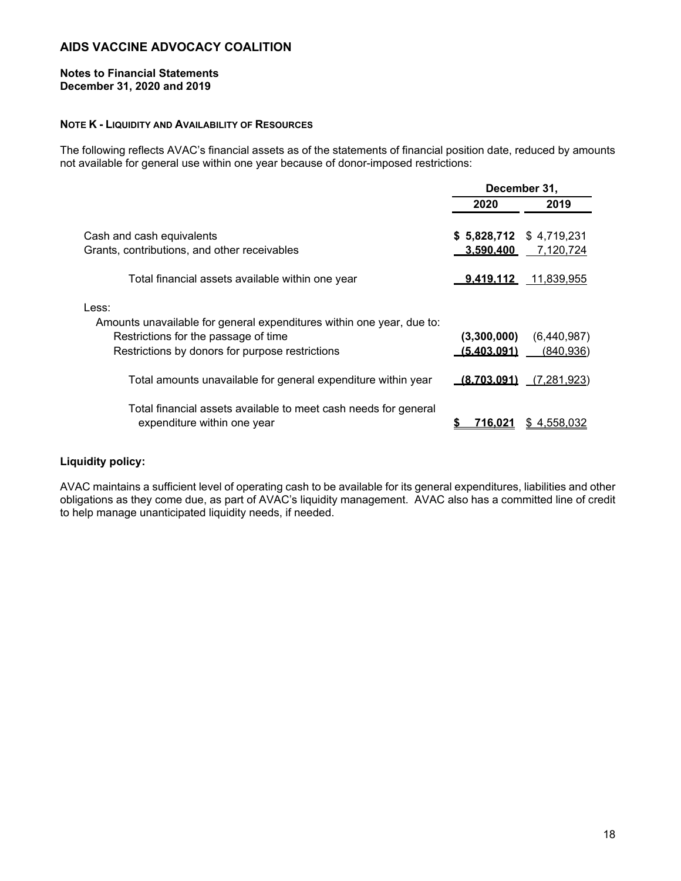#### **Notes to Financial Statements December 31, 2020 and 2019**

#### **NOTE K - LIQUIDITY AND AVAILABILITY OF RESOURCES**

The following reflects AVAC's financial assets as of the statements of financial position date, reduced by amounts not available for general use within one year because of donor-imposed restrictions:

|                                                                                                                                                                           | December 31,                          |                           |  |
|---------------------------------------------------------------------------------------------------------------------------------------------------------------------------|---------------------------------------|---------------------------|--|
|                                                                                                                                                                           | 2020                                  | 2019                      |  |
| Cash and cash equivalents<br>Grants, contributions, and other receivables                                                                                                 | $$5,828,712 \$4,719,231$<br>3.590.400 | 7,120,724                 |  |
| Total financial assets available within one year                                                                                                                          | <u>9.419.112_</u>                     | 11,839,955                |  |
| Less:<br>Amounts unavailable for general expenditures within one year, due to:<br>Restrictions for the passage of time<br>Restrictions by donors for purpose restrictions | (3,300,000)<br>(5.403.091)            | (6,440,987)<br>(840, 936) |  |
| Total amounts unavailable for general expenditure within year                                                                                                             | <u>(8.703.091)</u>                    | (7, 281, 923)             |  |
| Total financial assets available to meet cash needs for general<br>expenditure within one year                                                                            | 716.021                               | \$4,558,032               |  |

#### **Liquidity policy:**

AVAC maintains a sufficient level of operating cash to be available for its general expenditures, liabilities and other obligations as they come due, as part of AVAC's liquidity management. AVAC also has a committed line of credit to help manage unanticipated liquidity needs, if needed.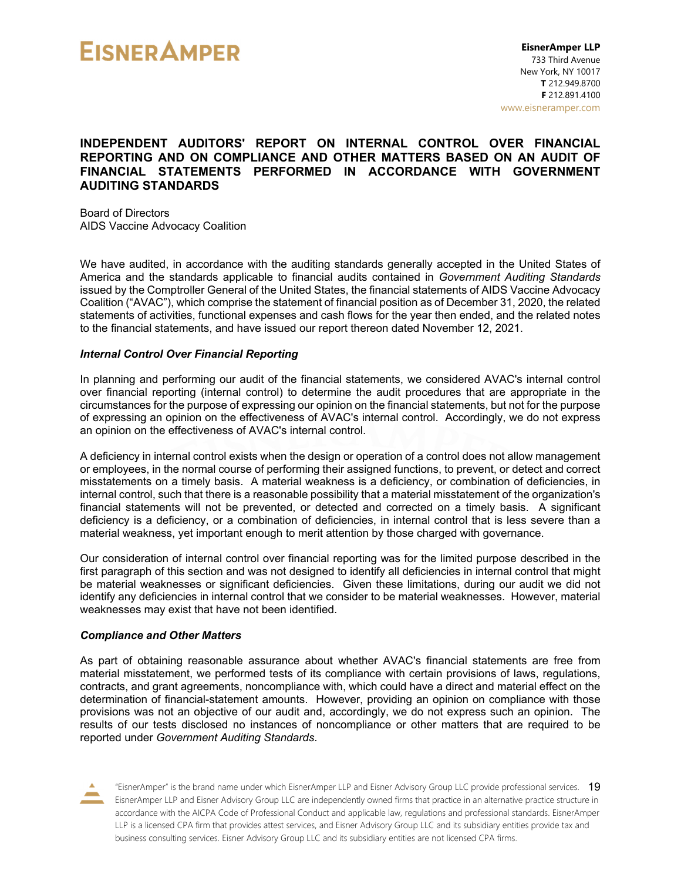#### **INDEPENDENT AUDITORS' REPORT ON INTERNAL CONTROL OVER FINANCIAL REPORTING AND ON COMPLIANCE AND OTHER MATTERS BASED ON AN AUDIT OF FINANCIAL STATEMENTS PERFORMED IN ACCORDANCE WITH GOVERNMENT AUDITING STANDARDS**

Board of Directors AIDS Vaccine Advocacy Coalition

We have audited, in accordance with the auditing standards generally accepted in the United States of America and the standards applicable to financial audits contained in *Government Auditing Standards* issued by the Comptroller General of the United States, the financial statements of AIDS Vaccine Advocacy Coalition ("AVAC"), which comprise the statement of financial position as of December 31, 2020, the related statements of activities, functional expenses and cash flows for the year then ended, and the related notes to the financial statements, and have issued our report thereon dated November 12, 2021.

#### *Internal Control Over Financial Reporting*

In planning and performing our audit of the financial statements, we considered AVAC's internal control over financial reporting (internal control) to determine the audit procedures that are appropriate in the circumstances for the purpose of expressing our opinion on the financial statements, but not for the purpose of expressing an opinion on the effectiveness of AVAC's internal control. Accordingly, we do not express an opinion on the effectiveness of AVAC's internal control.

A deficiency in internal control exists when the design or operation of a control does not allow management or employees, in the normal course of performing their assigned functions, to prevent, or detect and correct misstatements on a timely basis. A material weakness is a deficiency, or combination of deficiencies, in internal control, such that there is a reasonable possibility that a material misstatement of the organization's financial statements will not be prevented, or detected and corrected on a timely basis. A significant deficiency is a deficiency, or a combination of deficiencies, in internal control that is less severe than a material weakness, yet important enough to merit attention by those charged with governance.

Our consideration of internal control over financial reporting was for the limited purpose described in the first paragraph of this section and was not designed to identify all deficiencies in internal control that might be material weaknesses or significant deficiencies. Given these limitations, during our audit we did not identify any deficiencies in internal control that we consider to be material weaknesses. However, material weaknesses may exist that have not been identified.

#### *Compliance and Other Matters*

As part of obtaining reasonable assurance about whether AVAC's financial statements are free from material misstatement, we performed tests of its compliance with certain provisions of laws, regulations, contracts, and grant agreements, noncompliance with, which could have a direct and material effect on the determination of financial-statement amounts. However, providing an opinion on compliance with those provisions was not an objective of our audit and, accordingly, we do not express such an opinion. The results of our tests disclosed no instances of noncompliance or other matters that are required to be reported under *Government Auditing Standards*.

"EisnerAmper" is the brand name under which EisnerAmper LLP and Eisner Advisory Group LLC provide professional services. 19 EisnerAmper LLP and Eisner Advisory Group LLC are independently owned firms that practice in an alternative practice structure in accordance with the AICPA Code of Professional Conduct and applicable law, regulations and professional standards. EisnerAmper LLP is a licensed CPA firm that provides attest services, and Eisner Advisory Group LLC and its subsidiary entities provide tax and business consulting services. Eisner Advisory Group LLC and its subsidiary entities are not licensed CPA firms.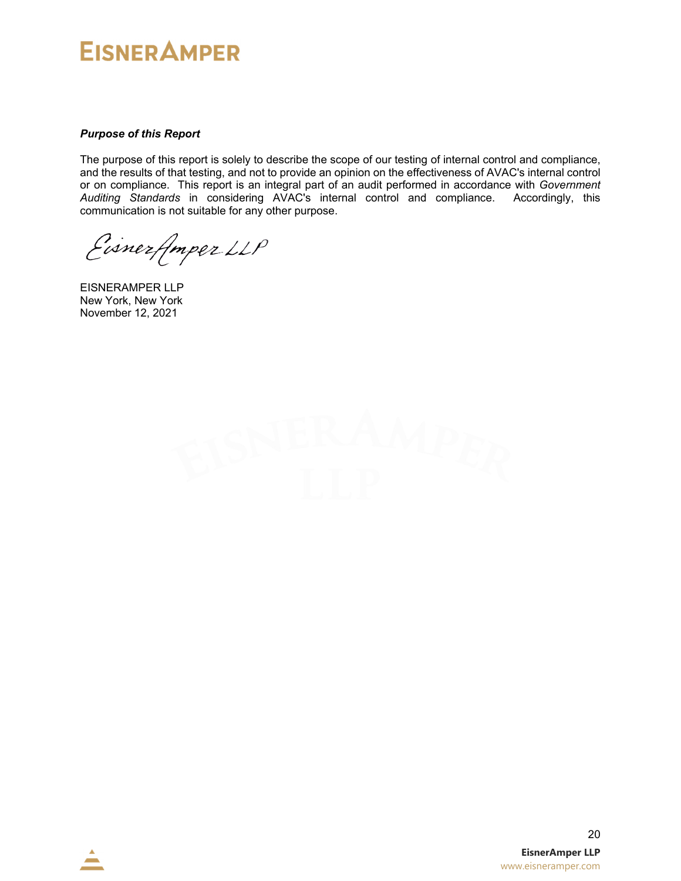#### *Purpose of this Report*

The purpose of this report is solely to describe the scope of our testing of internal control and compliance, and the results of that testing, and not to provide an opinion on the effectiveness of AVAC's internal control or on compliance. This report is an integral part of an audit performed in accordance with *Government Auditing Standards* in considering AVAC's internal control and compliance. Accordingly, this communication is not suitable for any other purpose.

Eisnerflmper LLP

EISNERAMPER LLP New York, New York November 12, 2021

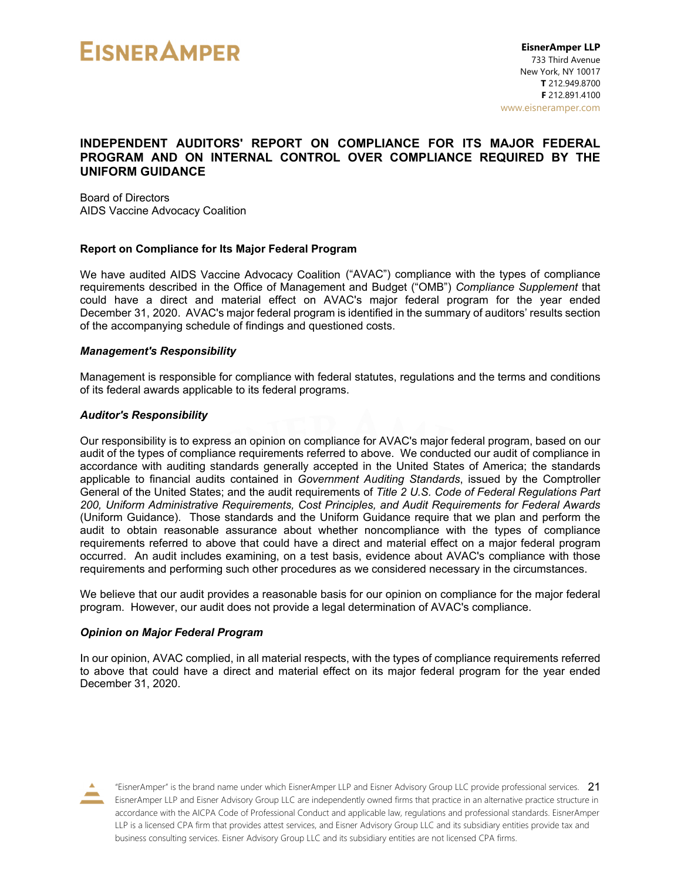#### **INDEPENDENT AUDITORS' REPORT ON COMPLIANCE FOR ITS MAJOR FEDERAL PROGRAM AND ON INTERNAL CONTROL OVER COMPLIANCE REQUIRED BY THE UNIFORM GUIDANCE**

Board of Directors AIDS Vaccine Advocacy Coalition

#### **Report on Compliance for Its Major Federal Program**

We have audited AIDS Vaccine Advocacy Coalition ("AVAC") compliance with the types of compliance requirements described in the Office of Management and Budget ("OMB") *Compliance Supplement* that could have a direct and material effect on AVAC's major federal program for the year ended December 31, 2020. AVAC's major federal program is identified in the summary of auditors' results section of the accompanying schedule of findings and questioned costs.

#### *Management's Responsibility*

Management is responsible for compliance with federal statutes, regulations and the terms and conditions of its federal awards applicable to its federal programs.

#### *Auditor's Responsibility*

Our responsibility is to express an opinion on compliance for AVAC's major federal program, based on our audit of the types of compliance requirements referred to above. We conducted our audit of compliance in accordance with auditing standards generally accepted in the United States of America; the standards applicable to financial audits contained in *Government Auditing Standards*, issued by the Comptroller General of the United States; and the audit requirements of *Title 2 U.S. Code of Federal Regulations Part 200, Uniform Administrative Requirements, Cost Principles, and Audit Requirements for Federal Awards* (Uniform Guidance). Those standards and the Uniform Guidance require that we plan and perform the audit to obtain reasonable assurance about whether noncompliance with the types of compliance requirements referred to above that could have a direct and material effect on a major federal program occurred. An audit includes examining, on a test basis, evidence about AVAC's compliance with those requirements and performing such other procedures as we considered necessary in the circumstances.

We believe that our audit provides a reasonable basis for our opinion on compliance for the major federal program. However, our audit does not provide a legal determination of AVAC's compliance.

#### *Opinion on Major Federal Program*

In our opinion, AVAC complied, in all material respects, with the types of compliance requirements referred to above that could have a direct and material effect on its major federal program for the year ended December 31, 2020.



"EisnerAmper" is the brand name under which EisnerAmper LLP and Eisner Advisory Group LLC provide professional services.  $21$ EisnerAmper LLP and Eisner Advisory Group LLC are independently owned firms that practice in an alternative practice structure in accordance with the AICPA Code of Professional Conduct and applicable law, regulations and professional standards. EisnerAmper LLP is a licensed CPA firm that provides attest services, and Eisner Advisory Group LLC and its subsidiary entities provide tax and business consulting services. Eisner Advisory Group LLC and its subsidiary entities are not licensed CPA firms.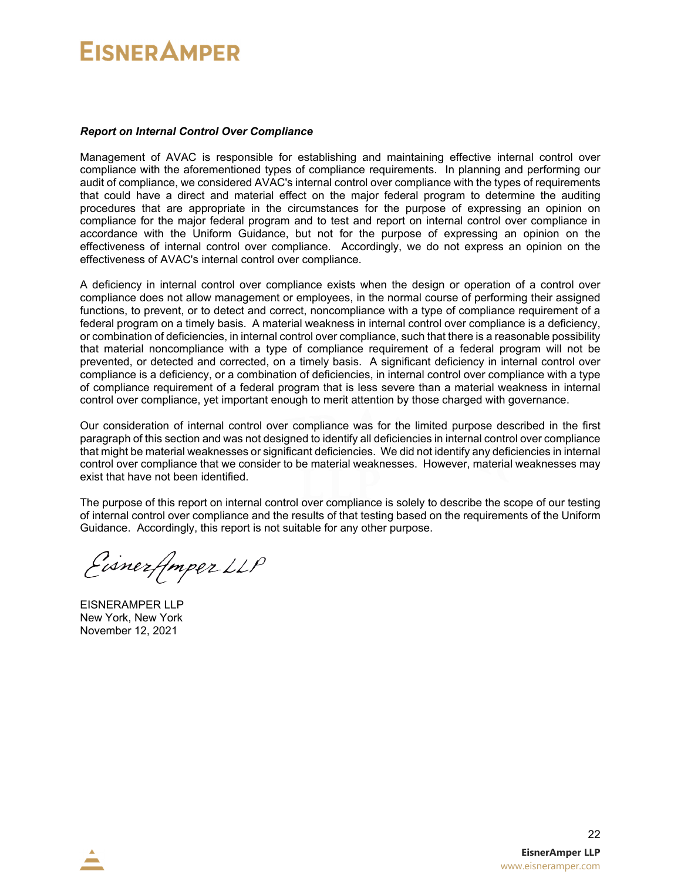#### *Report on Internal Control Over Compliance*

Management of AVAC is responsible for establishing and maintaining effective internal control over compliance with the aforementioned types of compliance requirements. In planning and performing our audit of compliance, we considered AVAC's internal control over compliance with the types of requirements that could have a direct and material effect on the major federal program to determine the auditing procedures that are appropriate in the circumstances for the purpose of expressing an opinion on compliance for the major federal program and to test and report on internal control over compliance in accordance with the Uniform Guidance, but not for the purpose of expressing an opinion on the effectiveness of internal control over compliance. Accordingly, we do not express an opinion on the effectiveness of AVAC's internal control over compliance.

A deficiency in internal control over compliance exists when the design or operation of a control over compliance does not allow management or employees, in the normal course of performing their assigned functions, to prevent, or to detect and correct, noncompliance with a type of compliance requirement of a federal program on a timely basis. A material weakness in internal control over compliance is a deficiency, or combination of deficiencies, in internal control over compliance, such that there is a reasonable possibility that material noncompliance with a type of compliance requirement of a federal program will not be prevented, or detected and corrected, on a timely basis. A significant deficiency in internal control over compliance is a deficiency, or a combination of deficiencies, in internal control over compliance with a type of compliance requirement of a federal program that is less severe than a material weakness in internal control over compliance, yet important enough to merit attention by those charged with governance.

Our consideration of internal control over compliance was for the limited purpose described in the first paragraph of this section and was not designed to identify all deficiencies in internal control over compliance that might be material weaknesses or significant deficiencies. We did not identify any deficiencies in internal control over compliance that we consider to be material weaknesses. However, material weaknesses may exist that have not been identified.

The purpose of this report on internal control over compliance is solely to describe the scope of our testing of internal control over compliance and the results of that testing based on the requirements of the Uniform Guidance. Accordingly, this report is not suitable for any other purpose.

Eisnerfmper LLP

EISNERAMPER LLP New York, New York November 12, 2021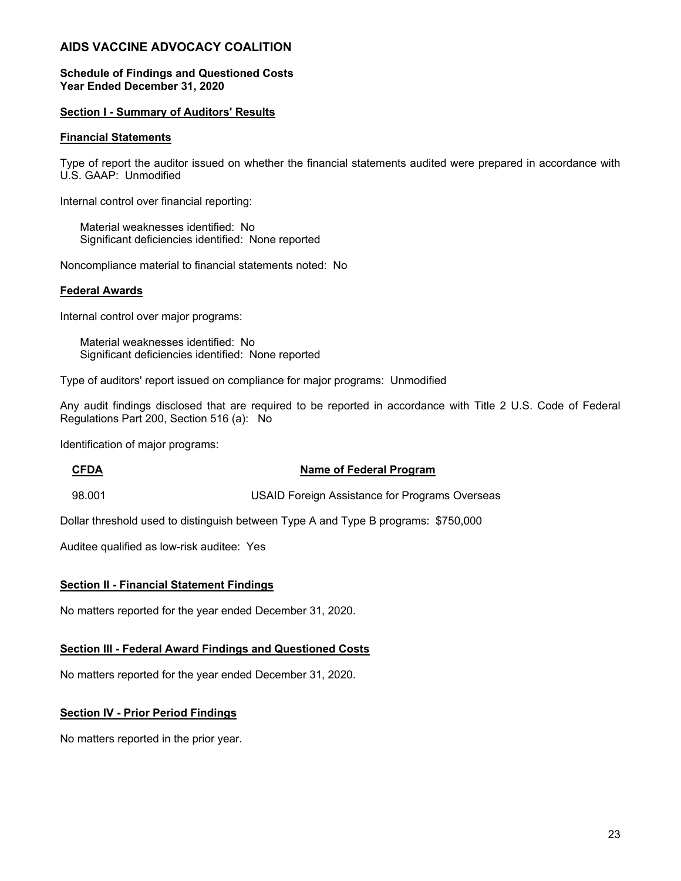#### **Schedule of Findings and Questioned Costs Year Ended December 31, 2020**

#### **Section I - Summary of Auditors' Results**

#### **Financial Statements**

Type of report the auditor issued on whether the financial statements audited were prepared in accordance with U.S. GAAP: Unmodified

Internal control over financial reporting:

 Material weaknesses identified: No Significant deficiencies identified: None reported

Noncompliance material to financial statements noted: No

#### **Federal Awards**

Internal control over major programs:

 Material weaknesses identified: No Significant deficiencies identified: None reported

Type of auditors' report issued on compliance for major programs: Unmodified

Any audit findings disclosed that are required to be reported in accordance with Title 2 U.S. Code of Federal Regulations Part 200, Section 516 (a): No

Identification of major programs:

#### **CFDA Name of Federal Program**

98.001 USAID Foreign Assistance for Programs Overseas

Dollar threshold used to distinguish between Type A and Type B programs: \$750,000

Auditee qualified as low-risk auditee: Yes

#### **Section II - Financial Statement Findings**

No matters reported for the year ended December 31, 2020.

#### **Section III - Federal Award Findings and Questioned Costs**

No matters reported for the year ended December 31, 2020.

#### **Section IV - Prior Period Findings**

No matters reported in the prior year.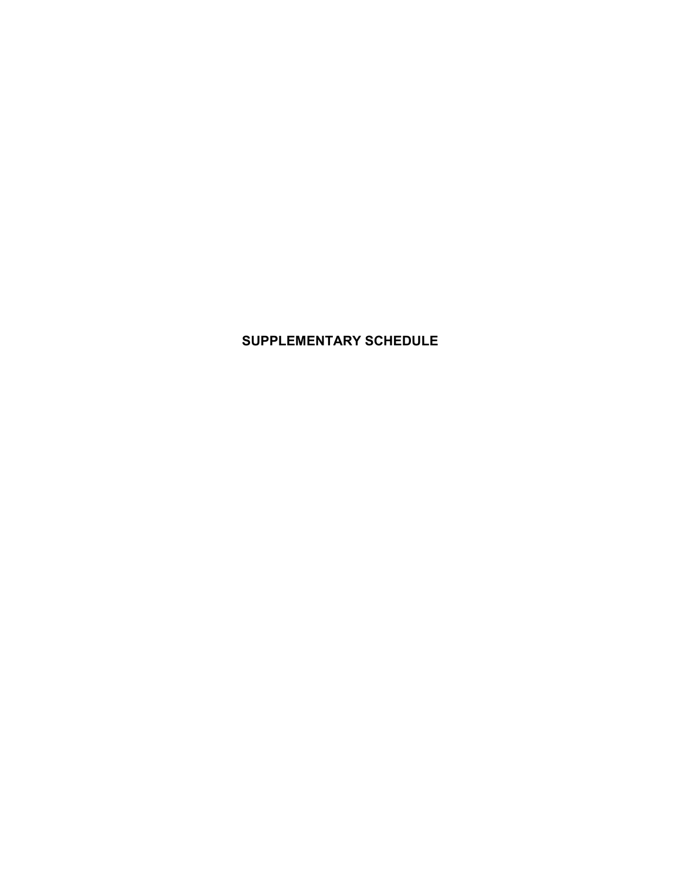## **SUPPLEMENTARY SCHEDULE**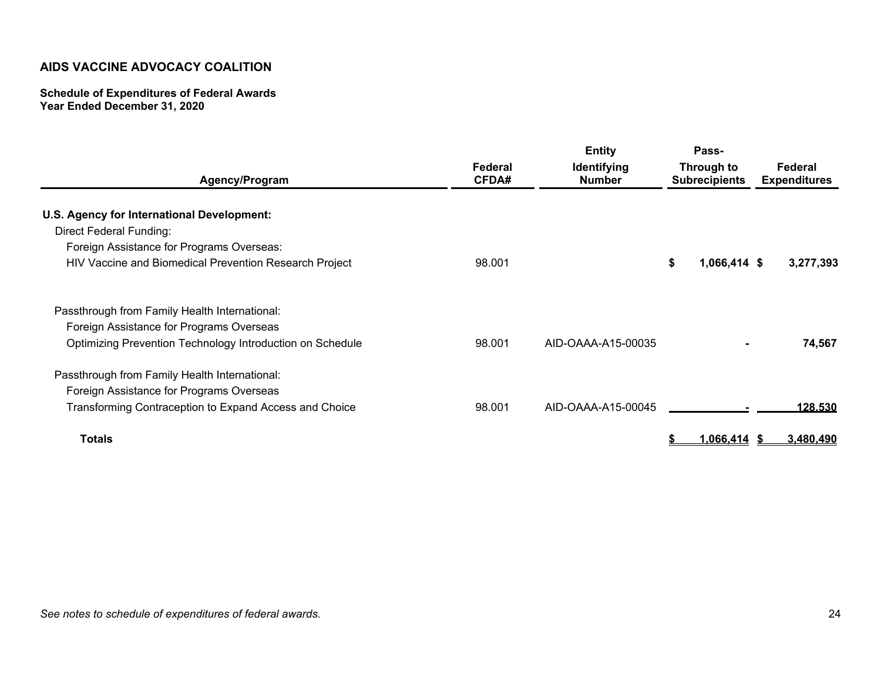#### **Schedule of Expenditures of Federal Awards Year Ended December 31, 2020**

| Agency/Program                                                                                        | Federal<br><b>CFDA#</b> | <b>Entity</b><br>Identifying<br><b>Number</b> | Pass-<br>Through to<br><b>Subrecipients</b> |              | Federal<br><b>Expenditures</b> |           |
|-------------------------------------------------------------------------------------------------------|-------------------------|-----------------------------------------------|---------------------------------------------|--------------|--------------------------------|-----------|
| U.S. Agency for International Development:<br>Direct Federal Funding:                                 |                         |                                               |                                             |              |                                |           |
| Foreign Assistance for Programs Overseas:                                                             |                         |                                               |                                             |              |                                |           |
| HIV Vaccine and Biomedical Prevention Research Project                                                | 98.001                  |                                               |                                             | 1,066,414 \$ |                                | 3,277,393 |
| Passthrough from Family Health International:                                                         |                         |                                               |                                             |              |                                |           |
| Foreign Assistance for Programs Overseas<br>Optimizing Prevention Technology Introduction on Schedule | 98.001                  | AID-OAAA-A15-00035                            |                                             |              |                                | 74,567    |
| Passthrough from Family Health International:                                                         |                         |                                               |                                             |              |                                |           |
| Foreign Assistance for Programs Overseas                                                              |                         |                                               |                                             |              |                                |           |
| Transforming Contraception to Expand Access and Choice                                                | 98.001                  | AID-OAAA-A15-00045                            |                                             |              |                                | 128.530   |
| <b>Totals</b>                                                                                         |                         |                                               |                                             | 1,066,414    |                                | 3,480,490 |